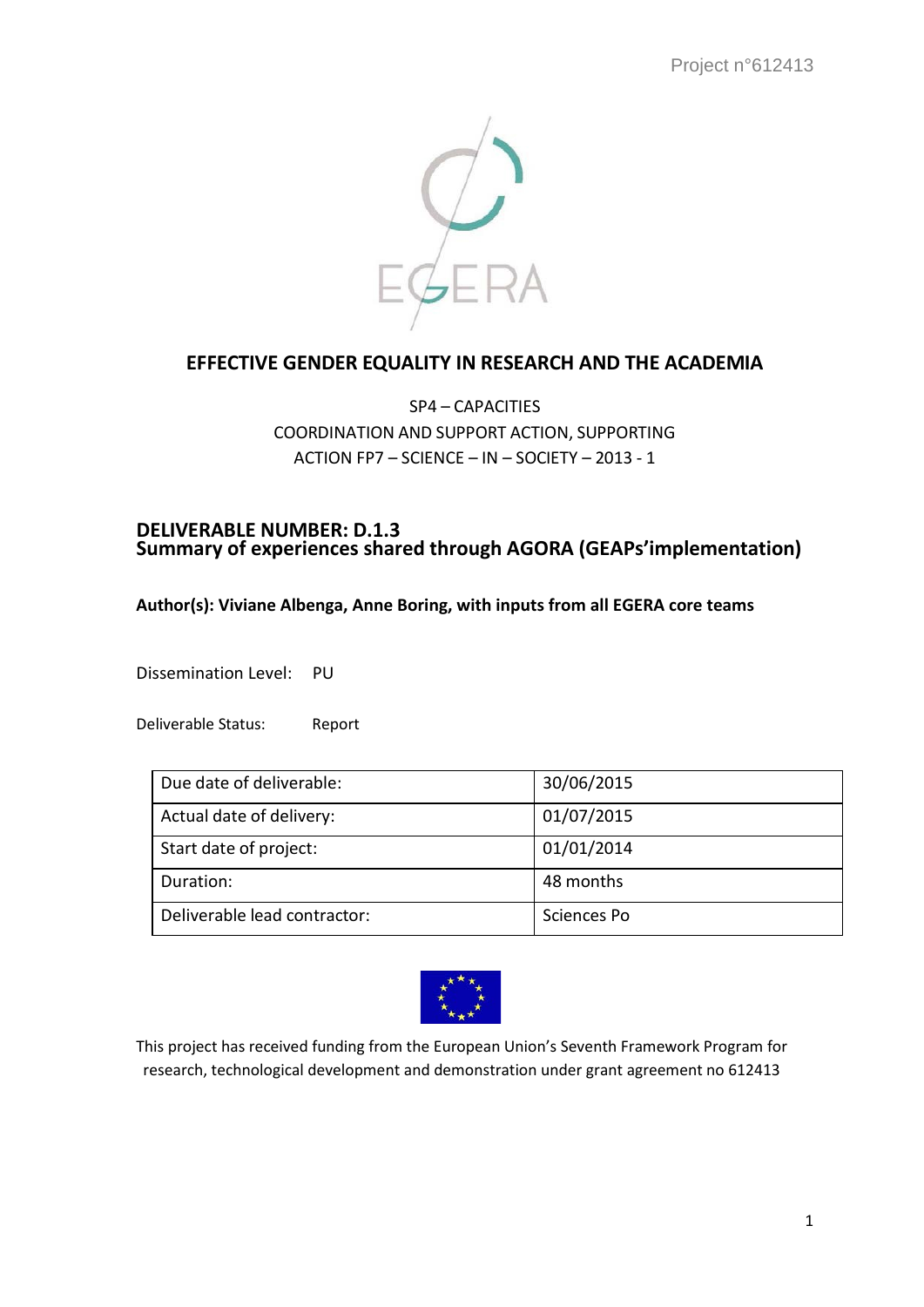

# **EFFECTIVE GENDER EQUALITY IN RESEARCH AND THE ACADEMIA**

# SP4 – CAPACITIES COORDINATION AND SUPPORT ACTION, SUPPORTING ACTION FP7 – SCIENCE – IN – SOCIETY – 2013 - 1

#### **DELIVERABLE NUMBER: D.1.3 Summary of experiences shared through AGORA (GEAPs'implementation)**

#### **Author(s): Viviane Albenga, Anne Boring, with inputs from all EGERA core teams**

Dissemination Level: PU

Deliverable Status: Report

| Due date of deliverable:     | 30/06/2015  |
|------------------------------|-------------|
| Actual date of delivery:     | 01/07/2015  |
| Start date of project:       | 01/01/2014  |
| Duration:                    | 48 months   |
| Deliverable lead contractor: | Sciences Po |



This project has received funding from the European Union's Seventh Framework Program for research, technological development and demonstration under grant agreement no 612413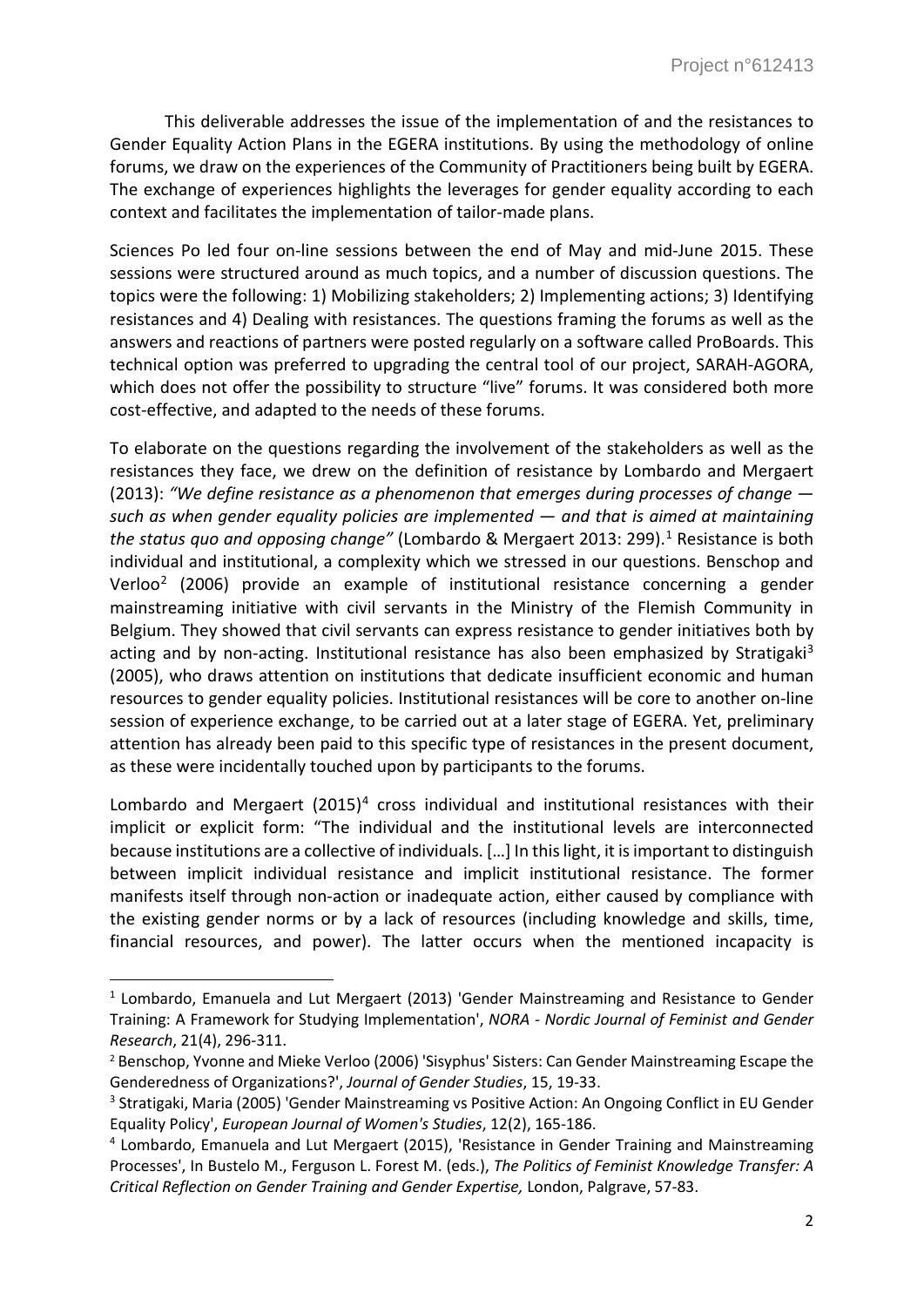This deliverable addresses the issue of the implementation of and the resistances to Gender Equality Action Plans in the EGERA institutions. By using the methodology of online forums, we draw on the experiences of the Community of Practitioners being built by EGERA. The exchange of experiences highlights the leverages for gender equality according to each context and facilitates the implementation of tailor-made plans.

Sciences Po led four on-line sessions between the end of May and mid-June 2015. These sessions were structured around as much topics, and a number of discussion questions. The topics were the following: 1) Mobilizing stakeholders; 2) Implementing actions; 3) Identifying resistances and 4) Dealing with resistances. The questions framing the forums as well as the answers and reactions of partners were posted regularly on a software called ProBoards. This technical option was preferred to upgrading the central tool of our project, SARAH-AGORA, which does not offer the possibility to structure "live" forums. It was considered both more cost-effective, and adapted to the needs of these forums.

To elaborate on the questions regarding the involvement of the stakeholders as well as the resistances they face, we drew on the definition of resistance by Lombardo and Mergaert (2013): *"We define resistance as a phenomenon that emerges during processes of change such as when gender equality policies are implemented — and that is aimed at maintaining the status quo and opposing change"* (Lombardo & Mergaert 2013: 299). [1](#page-1-0) Resistance is both individual and institutional, a complexity which we stressed in our questions. Benschop and Verloo[2](#page-1-1) (2006) provide an example of institutional resistance concerning a gender mainstreaming initiative with civil servants in the Ministry of the Flemish Community in Belgium. They showed that civil servants can express resistance to gender initiatives both by acting and by non-acting. Institutional resistance has also been emphasized by Stratigaki<sup>3</sup> (2005), who draws attention on institutions that dedicate insufficient economic and human resources to gender equality policies. Institutional resistances will be core to another on-line session of experience exchange, to be carried out at a later stage of EGERA. Yet, preliminary attention has already been paid to this specific type of resistances in the present document, as these were incidentally touched upon by participants to the forums.

Lombardo and Mergaert  $(2015)^4$  $(2015)^4$  cross individual and institutional resistances with their implicit or explicit form: "The individual and the institutional levels are interconnected because institutions are a collective of individuals. […] In this light, it is important to distinguish between implicit individual resistance and implicit institutional resistance. The former manifests itself through non-action or inadequate action, either caused by compliance with the existing gender norms or by a lack of resources (including knowledge and skills, time, financial resources, and power). The latter occurs when the mentioned incapacity is

<span id="page-1-0"></span><sup>&</sup>lt;sup>1</sup> Lombardo, Emanuela and Lut Mergaert (2013) 'Gender Mainstreaming and Resistance to Gender Training: A Framework for Studying Implementation', *NORA - Nordic Journal of Feminist and Gender Research*, 21(4), 296-311.<br><sup>2</sup> Benschop, Yvonne and Mieke Verloo (2006) 'Sisyphus' Sisters: Can Gender Mainstreaming Escape the

<span id="page-1-1"></span>Genderedness of Organizations?', *Journal of Gender Studies*, 15, 19-33.

<span id="page-1-2"></span><sup>&</sup>lt;sup>3</sup> Stratigaki, Maria (2005) 'Gender Mainstreaming vs Positive Action: An Ongoing Conflict in EU Gender Equality Policy', *European Journal of Women's Studies*, 12(2), 165-186. 4 Lombardo, Emanuela and Lut Mergaert (2015), 'Resistance in Gender Training and Mainstreaming

<span id="page-1-3"></span>Processes', In Bustelo M., Ferguson L. Forest M. (eds.), *The Politics of Feminist Knowledge Transfer: A Critical Reflection on Gender Training and Gender Expertise,* London, Palgrave, 57-83.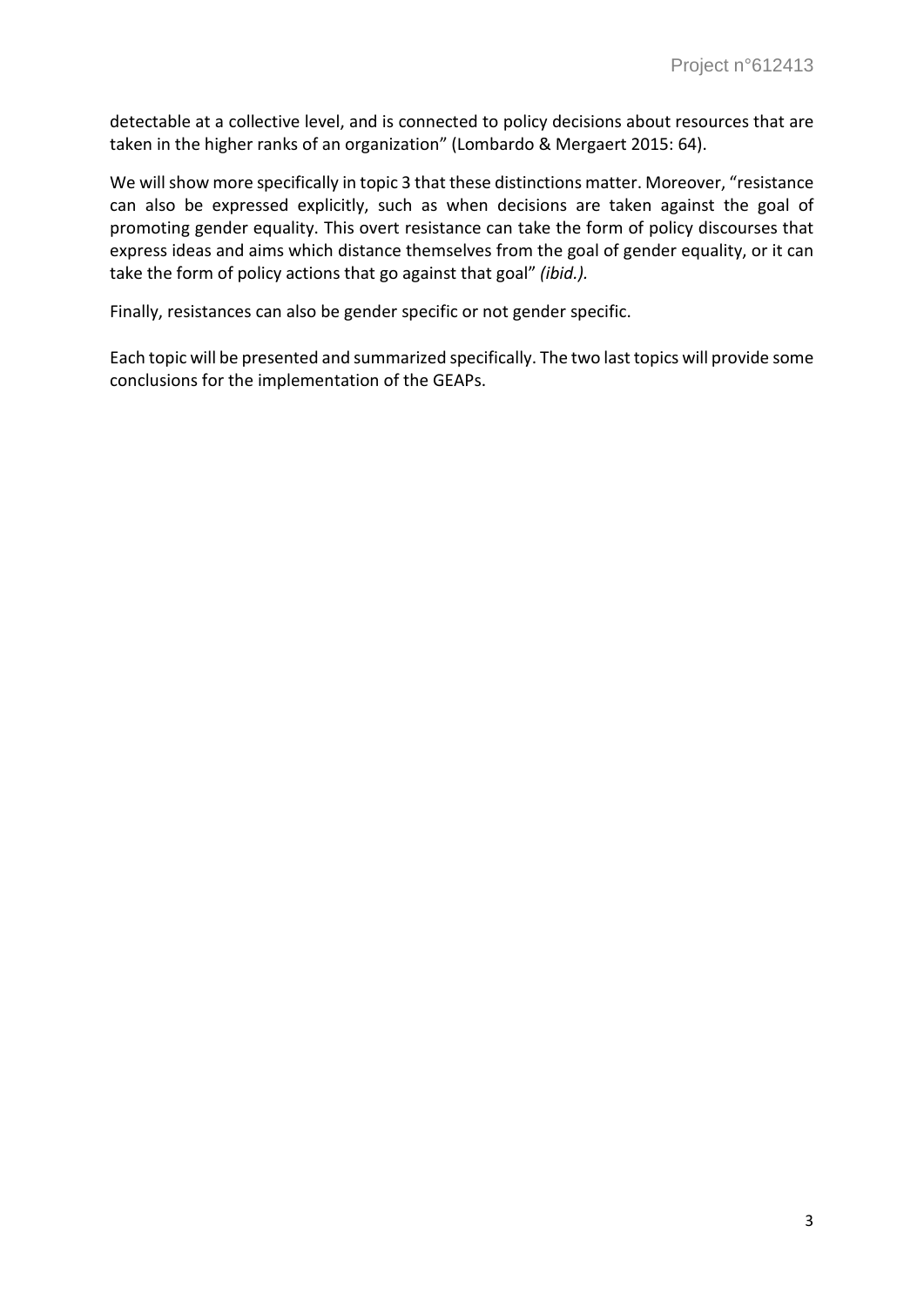detectable at a collective level, and is connected to policy decisions about resources that are taken in the higher ranks of an organization" (Lombardo & Mergaert 2015: 64).

We will show more specifically in topic 3 that these distinctions matter. Moreover, "resistance can also be expressed explicitly, such as when decisions are taken against the goal of promoting gender equality. This overt resistance can take the form of policy discourses that express ideas and aims which distance themselves from the goal of gender equality, or it can take the form of policy actions that go against that goal" *(ibid.).*

Finally, resistances can also be gender specific or not gender specific.

Each topic will be presented and summarized specifically. The two last topics will provide some conclusions for the implementation of the GEAPs.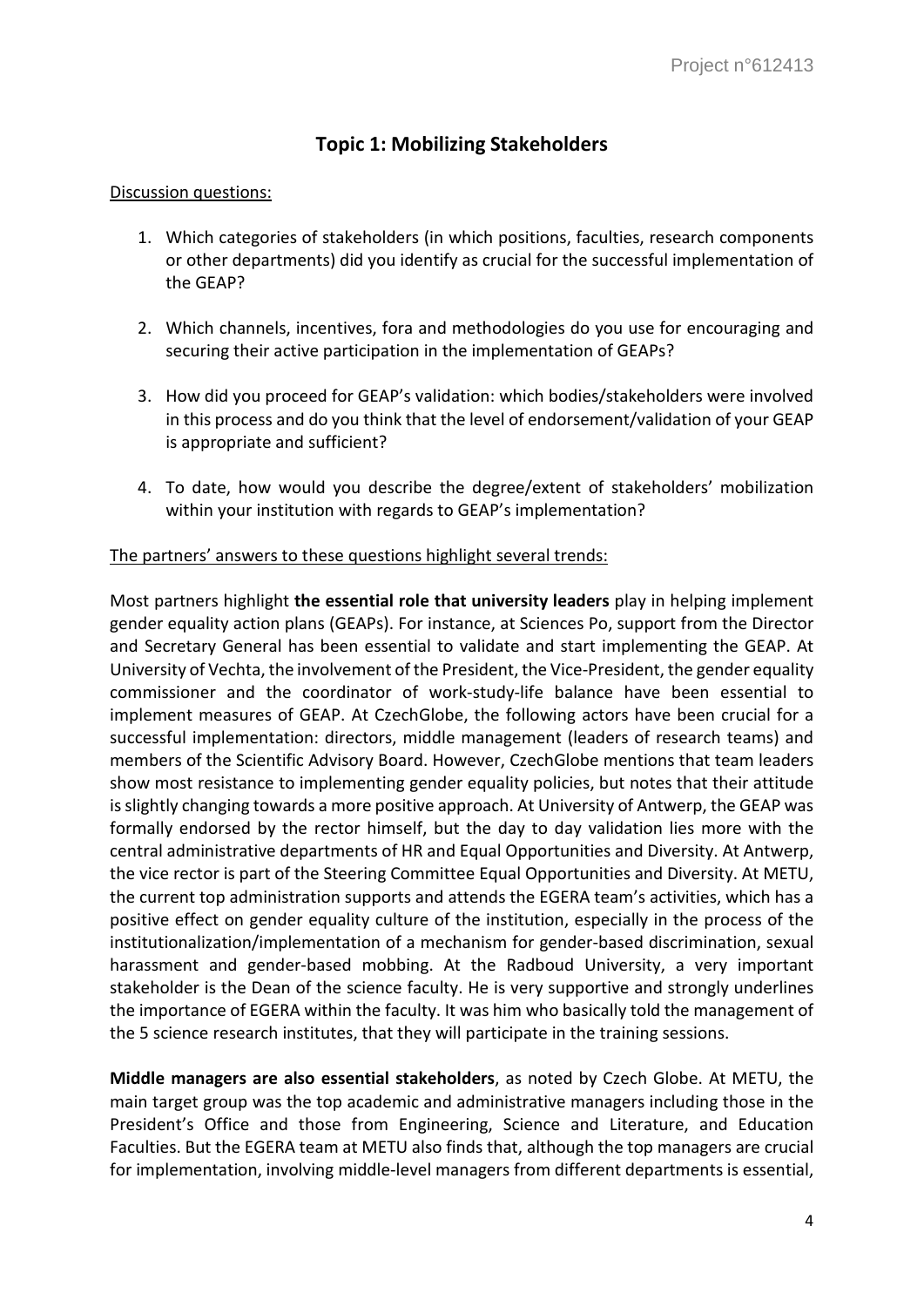# **Topic 1: Mobilizing Stakeholders**

#### Discussion questions:

- 1. Which categories of stakeholders (in which positions, faculties, research components or other departments) did you identify as crucial for the successful implementation of the GEAP?
- 2. Which channels, incentives, fora and methodologies do you use for encouraging and securing their active participation in the implementation of GEAPs?
- 3. How did you proceed for GEAP's validation: which bodies/stakeholders were involved in this process and do you think that the level of endorsement/validation of your GEAP is appropriate and sufficient?
- 4. To date, how would you describe the degree/extent of stakeholders' mobilization within your institution with regards to GEAP's implementation?

### The partners' answers to these questions highlight several trends:

Most partners highlight **the essential role that university leaders** play in helping implement gender equality action plans (GEAPs). For instance, at Sciences Po, support from the Director and Secretary General has been essential to validate and start implementing the GEAP. At University of Vechta, the involvement of the President, the Vice-President, the gender equality commissioner and the coordinator of work-study-life balance have been essential to implement measures of GEAP. At CzechGlobe, the following actors have been crucial for a successful implementation: directors, middle management (leaders of research teams) and members of the Scientific Advisory Board. However, CzechGlobe mentions that team leaders show most resistance to implementing gender equality policies, but notes that their attitude is slightly changing towards a more positive approach. At University of Antwerp, the GEAP was formally endorsed by the rector himself, but the day to day validation lies more with the central administrative departments of HR and Equal Opportunities and Diversity. At Antwerp, the vice rector is part of the Steering Committee Equal Opportunities and Diversity. At METU, the current top administration supports and attends the EGERA team's activities, which has a positive effect on gender equality culture of the institution, especially in the process of the institutionalization/implementation of a mechanism for gender-based discrimination, sexual harassment and gender-based mobbing. At the Radboud University, a very important stakeholder is the Dean of the science faculty. He is very supportive and strongly underlines the importance of EGERA within the faculty. It was him who basically told the management of the 5 science research institutes, that they will participate in the training sessions.

**Middle managers are also essential stakeholders**, as noted by Czech Globe. At METU, the main target group was the top academic and administrative managers including those in the President's Office and those from Engineering, Science and Literature, and Education Faculties. But the EGERA team at METU also finds that, although the top managers are crucial for implementation, involving middle-level managers from different departments is essential,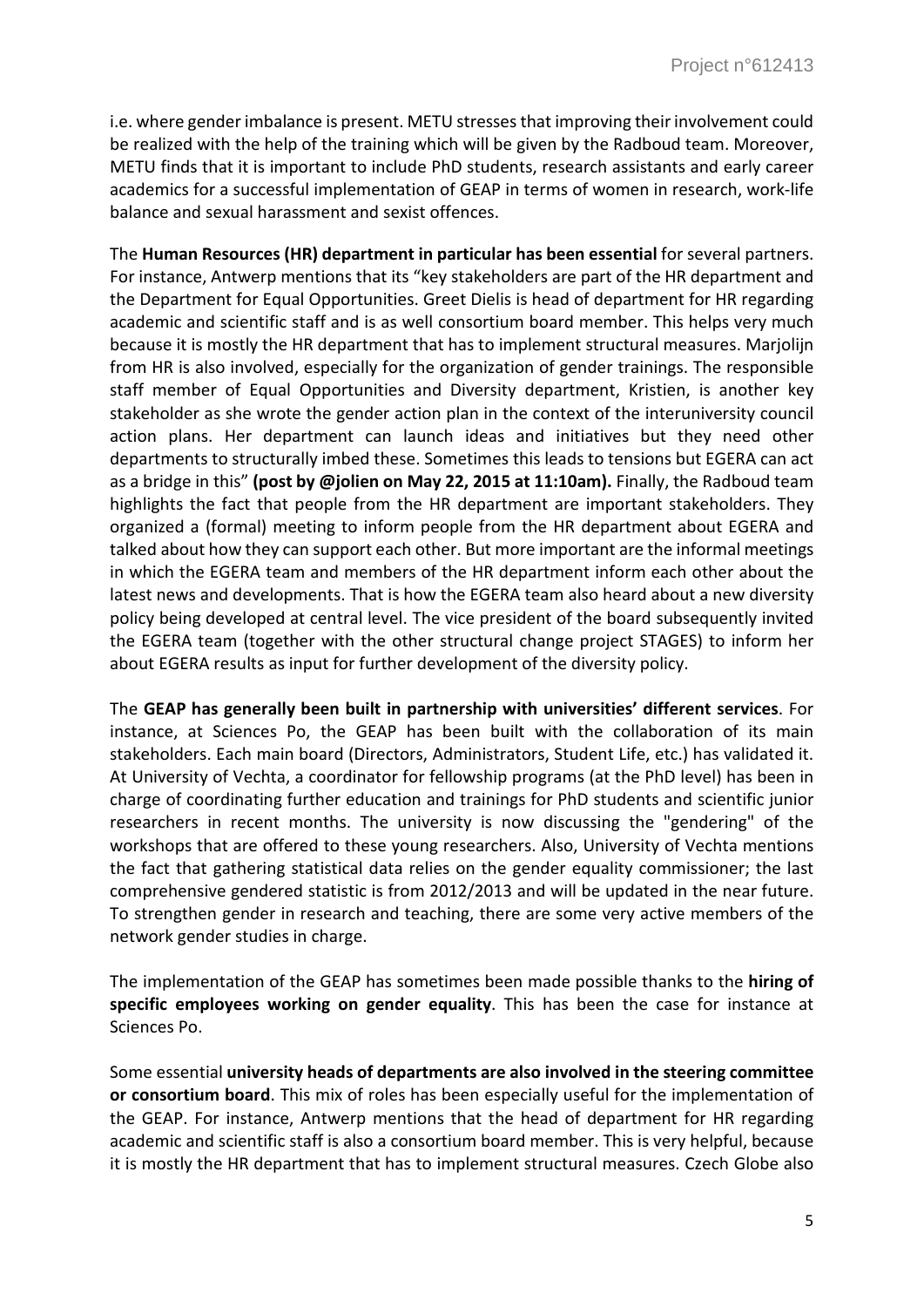i.e. where gender imbalance is present. METU stresses that improving their involvement could be realized with the help of the training which will be given by the Radboud team. Moreover, METU finds that it is important to include PhD students, research assistants and early career academics for a successful implementation of GEAP in terms of women in research, work-life balance and sexual harassment and sexist offences.

The **Human Resources (HR) department in particular has been essential** for several partners. For instance, Antwerp mentions that its "key stakeholders are part of the HR department and the Department for Equal Opportunities. Greet Dielis is head of department for HR regarding academic and scientific staff and is as well consortium board member. This helps very much because it is mostly the HR department that has to implement structural measures. Marjolijn from HR is also involved, especially for the organization of gender trainings. The responsible staff member of Equal Opportunities and Diversity department, Kristien, is another key stakeholder as she wrote the gender action plan in the context of the interuniversity council action plans. Her department can launch ideas and initiatives but they need other departments to structurally imbed these. Sometimes this leads to tensions but EGERA can act as a bridge in this" **(post by @jolien on May 22, 2015 at 11:10am).** Finally, the Radboud team highlights the fact that people from the HR department are important stakeholders. They organized a (formal) meeting to inform people from the HR department about EGERA and talked about how they can support each other. But more important are the informal meetings in which the EGERA team and members of the HR department inform each other about the latest news and developments. That is how the EGERA team also heard about a new diversity policy being developed at central level. The vice president of the board subsequently invited the EGERA team (together with the other structural change project STAGES) to inform her about EGERA results as input for further development of the diversity policy.

The **GEAP has generally been built in partnership with universities' different services**. For instance, at Sciences Po, the GEAP has been built with the collaboration of its main stakeholders. Each main board (Directors, Administrators, Student Life, etc.) has validated it. At University of Vechta, a coordinator for fellowship programs (at the PhD level) has been in charge of coordinating further education and trainings for PhD students and scientific junior researchers in recent months. The university is now discussing the "gendering" of the workshops that are offered to these young researchers. Also, University of Vechta mentions the fact that gathering statistical data relies on the gender equality commissioner; the last comprehensive gendered statistic is from 2012/2013 and will be updated in the near future. To strengthen gender in research and teaching, there are some very active members of the network gender studies in charge.

The implementation of the GEAP has sometimes been made possible thanks to the **hiring of specific employees working on gender equality**. This has been the case for instance at Sciences Po.

Some essential **university heads of departments are also involved in the steering committee or consortium board**. This mix of roles has been especially useful for the implementation of the GEAP. For instance, Antwerp mentions that the head of department for HR regarding academic and scientific staff is also a consortium board member. This is very helpful, because it is mostly the HR department that has to implement structural measures. Czech Globe also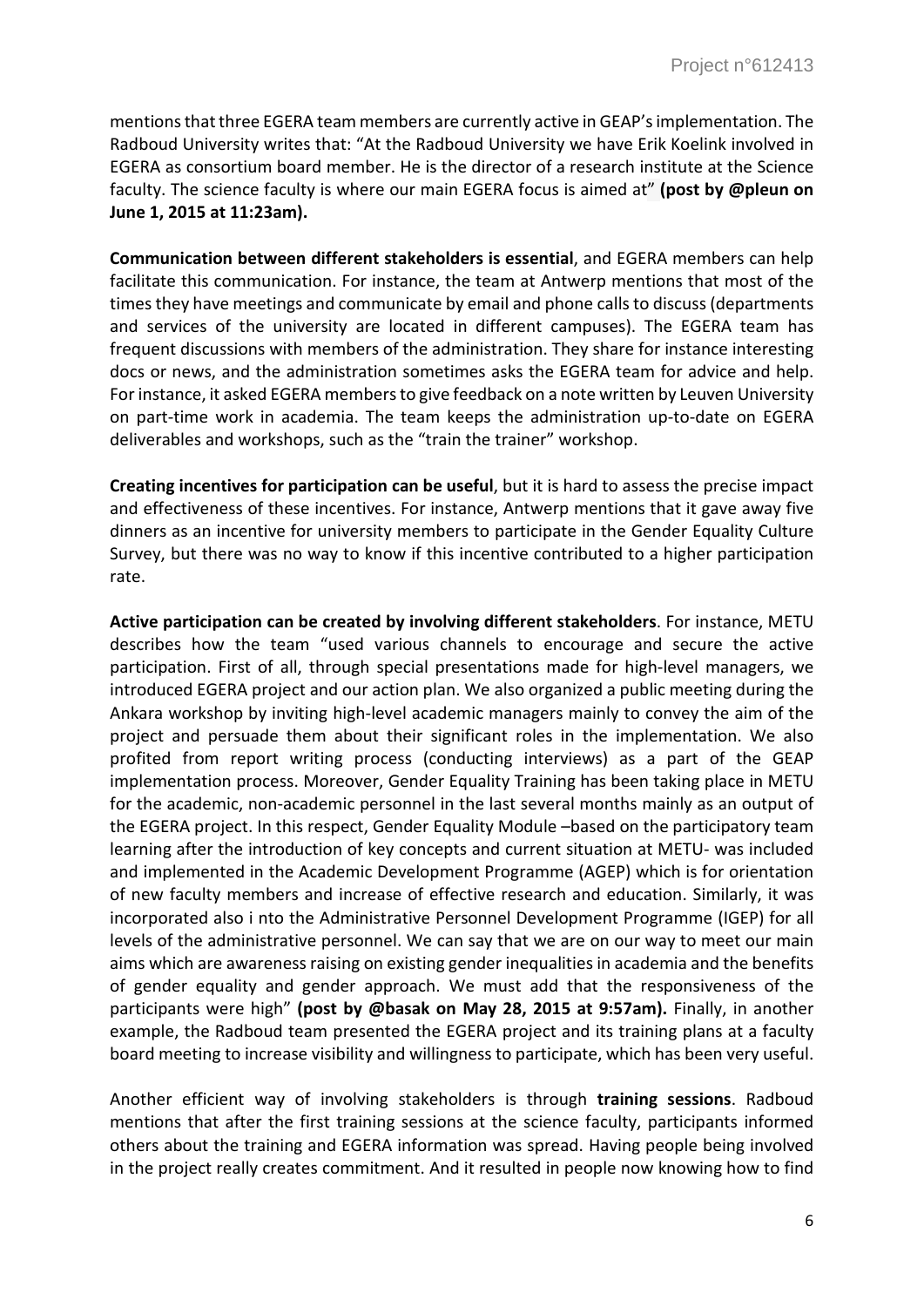mentions that three EGERA team members are currently active in GEAP's implementation. The Radboud University writes that: "At the Radboud University we have Erik Koelink involved in EGERA as consortium board member. He is the director of a research institute at the Science faculty. The science faculty is where our main EGERA focus is aimed at" **(post by @pleun on June 1, 2015 at 11:23am).**

**Communication between different stakeholders is essential**, and EGERA members can help facilitate this communication. For instance, the team at Antwerp mentions that most of the times they have meetings and communicate by email and phone calls to discuss (departments and services of the university are located in different campuses). The EGERA team has frequent discussions with members of the administration. They share for instance interesting docs or news, and the administration sometimes asks the EGERA team for advice and help. For instance, it asked EGERA members to give feedback on a note written by Leuven University on part-time work in academia. The team keeps the administration up-to-date on EGERA deliverables and workshops, such as the "train the trainer" workshop.

**Creating incentives for participation can be useful**, but it is hard to assess the precise impact and effectiveness of these incentives. For instance, Antwerp mentions that it gave away five dinners as an incentive for university members to participate in the Gender Equality Culture Survey, but there was no way to know if this incentive contributed to a higher participation rate.

**Active participation can be created by involving different stakeholders**. For instance, METU describes how the team "used various channels to encourage and secure the active participation. First of all, through special presentations made for high-level managers, we introduced EGERA project and our action plan. We also organized a public meeting during the Ankara workshop by inviting high-level academic managers mainly to convey the aim of the project and persuade them about their significant roles in the implementation. We also profited from report writing process (conducting interviews) as a part of the GEAP implementation process. Moreover, Gender Equality Training has been taking place in METU for the academic, non-academic personnel in the last several months mainly as an output of the EGERA project. In this respect, Gender Equality Module –based on the participatory team learning after the introduction of key concepts and current situation at METU- was included and implemented in the Academic Development Programme (AGEP) which is for orientation of new faculty members and increase of effective research and education. Similarly, it was incorporated also i nto the Administrative Personnel Development Programme (IGEP) for all levels of the administrative personnel. We can say that we are on our way to meet our main aims which are awareness raising on existing gender inequalities in academia and the benefits of gender equality and gender approach. We must add that the responsiveness of the participants were high" **(post by @basak on May 28, 2015 at 9:57am).** Finally, in another example, the Radboud team presented the EGERA project and its training plans at a faculty board meeting to increase visibility and willingness to participate, which has been very useful.

Another efficient way of involving stakeholders is through **training sessions**. Radboud mentions that after the first training sessions at the science faculty, participants informed others about the training and EGERA information was spread. Having people being involved in the project really creates commitment. And it resulted in people now knowing how to find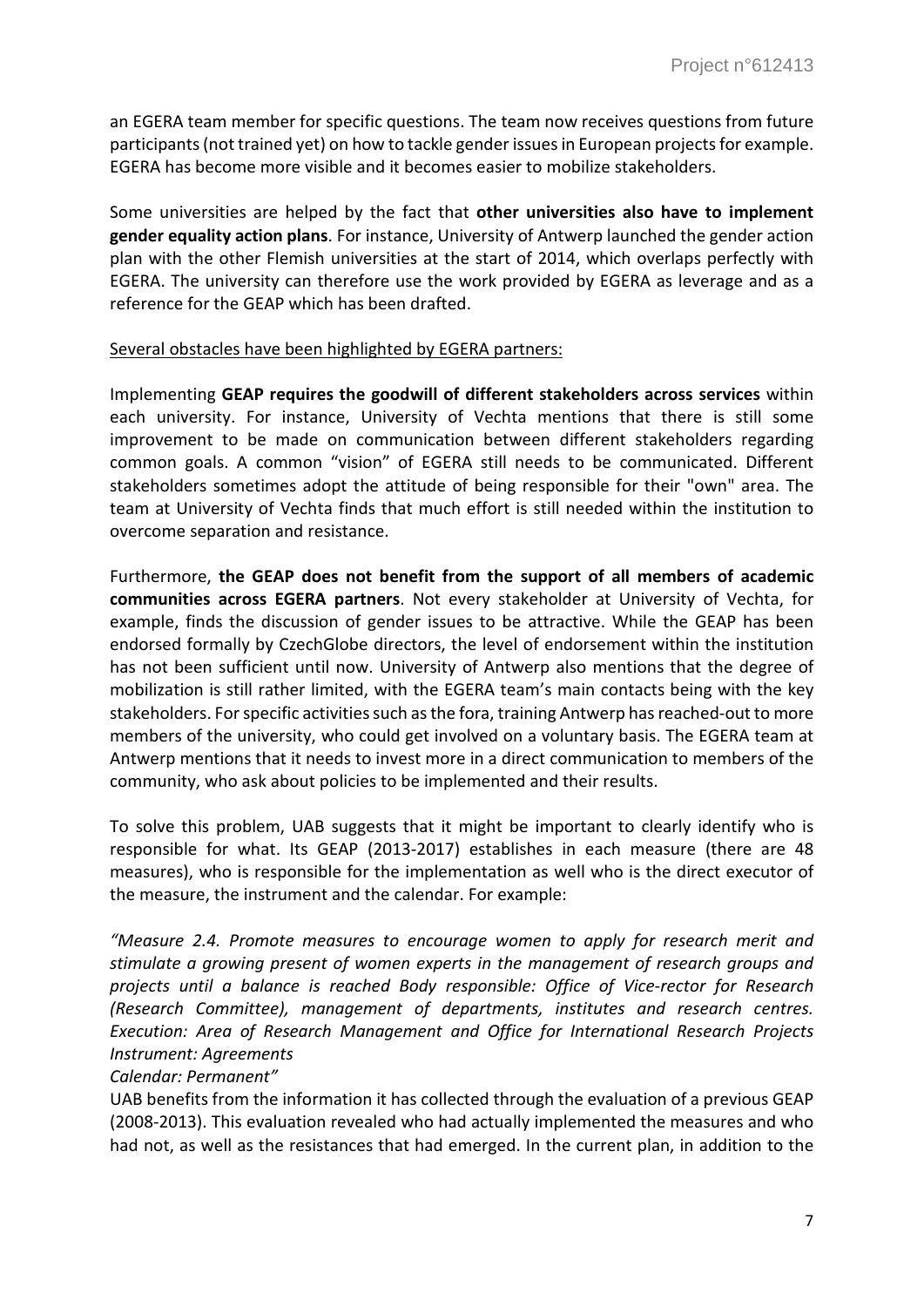an EGERA team member for specific questions. The team now receives questions from future participants (not trained yet) on how to tackle gender issues in European projects for example. EGERA has become more visible and it becomes easier to mobilize stakeholders.

Some universities are helped by the fact that **other universities also have to implement gender equality action plans**. For instance, University of Antwerp launched the gender action plan with the other Flemish universities at the start of 2014, which overlaps perfectly with EGERA. The university can therefore use the work provided by EGERA as leverage and as a reference for the GEAP which has been drafted.

#### Several obstacles have been highlighted by EGERA partners:

Implementing **GEAP requires the goodwill of different stakeholders across services** within each university. For instance, University of Vechta mentions that there is still some improvement to be made on communication between different stakeholders regarding common goals. A common "vision" of EGERA still needs to be communicated. Different stakeholders sometimes adopt the attitude of being responsible for their "own" area. The team at University of Vechta finds that much effort is still needed within the institution to overcome separation and resistance.

Furthermore, **the GEAP does not benefit from the support of all members of academic communities across EGERA partners**. Not every stakeholder at University of Vechta, for example, finds the discussion of gender issues to be attractive. While the GEAP has been endorsed formally by CzechGlobe directors, the level of endorsement within the institution has not been sufficient until now. University of Antwerp also mentions that the degree of mobilization is still rather limited, with the EGERA team's main contacts being with the key stakeholders. For specific activities such as the fora, training Antwerp has reached-out to more members of the university, who could get involved on a voluntary basis. The EGERA team at Antwerp mentions that it needs to invest more in a direct communication to members of the community, who ask about policies to be implemented and their results.

To solve this problem, UAB suggests that it might be important to clearly identify who is responsible for what. Its GEAP (2013-2017) establishes in each measure (there are 48 measures), who is responsible for the implementation as well who is the direct executor of the measure, the instrument and the calendar. For example:

*"Measure 2.4. Promote measures to encourage women to apply for research merit and stimulate a growing present of women experts in the management of research groups and projects until a balance is reached Body responsible: Office of Vice-rector for Research (Research Committee), management of departments, institutes and research centres. Execution: Area of Research Management and Office for International Research Projects Instrument: Agreements*

# *Calendar: Permanent"*

UAB benefits from the information it has collected through the evaluation of a previous GEAP (2008-2013). This evaluation revealed who had actually implemented the measures and who had not, as well as the resistances that had emerged. In the current plan, in addition to the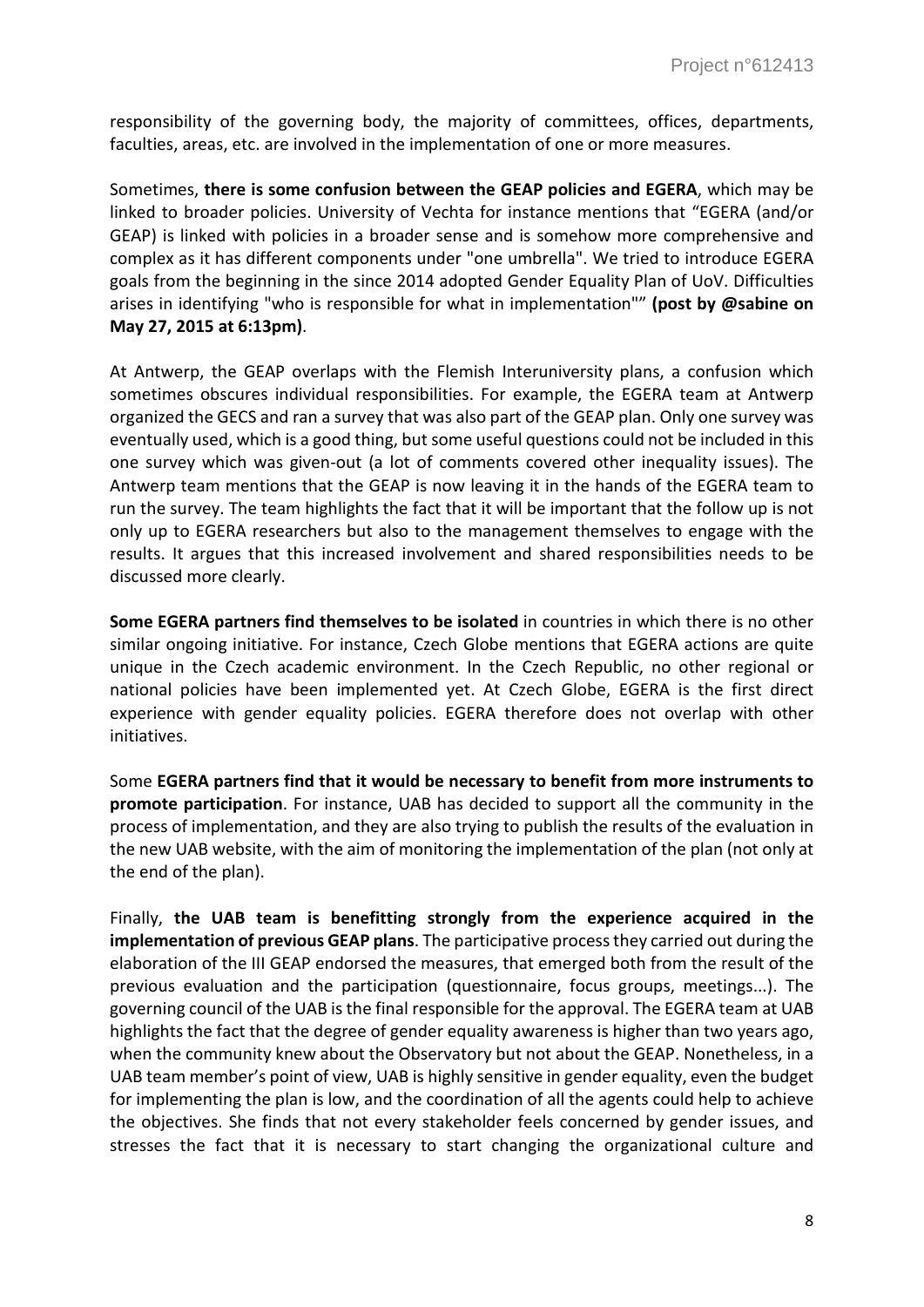responsibility of the governing body, the majority of committees, offices, departments, faculties, areas, etc. are involved in the implementation of one or more measures.

Sometimes, **there is some confusion between the GEAP policies and EGERA**, which may be linked to broader policies. University of Vechta for instance mentions that "EGERA (and/or GEAP) is linked with policies in a broader sense and is somehow more comprehensive and complex as it has different components under "one umbrella". We tried to introduce EGERA goals from the beginning in the since 2014 adopted Gender Equality Plan of UoV. Difficulties arises in identifying "who is responsible for what in implementation"" **(post by @sabine on May 27, 2015 at 6:13pm)**.

At Antwerp, the GEAP overlaps with the Flemish Interuniversity plans, a confusion which sometimes obscures individual responsibilities. For example, the EGERA team at Antwerp organized the GECS and ran a survey that was also part of the GEAP plan. Only one survey was eventually used, which is a good thing, but some useful questions could not be included in this one survey which was given-out (a lot of comments covered other inequality issues). The Antwerp team mentions that the GEAP is now leaving it in the hands of the EGERA team to run the survey. The team highlights the fact that it will be important that the follow up is not only up to EGERA researchers but also to the management themselves to engage with the results. It argues that this increased involvement and shared responsibilities needs to be discussed more clearly.

**Some EGERA partners find themselves to be isolated** in countries in which there is no other similar ongoing initiative. For instance, Czech Globe mentions that EGERA actions are quite unique in the Czech academic environment. In the Czech Republic, no other regional or national policies have been implemented yet. At Czech Globe, EGERA is the first direct experience with gender equality policies. EGERA therefore does not overlap with other initiatives.

Some **EGERA partners find that it would be necessary to benefit from more instruments to promote participation**. For instance, UAB has decided to support all the community in the process of implementation, and they are also trying to publish the results of the evaluation in the new UAB website, with the aim of monitoring the implementation of the plan (not only at the end of the plan).

Finally, **the UAB team is benefitting strongly from the experience acquired in the implementation of previous GEAP plans**. The participative process they carried out during the elaboration of the III GEAP endorsed the measures, that emerged both from the result of the previous evaluation and the participation (questionnaire, focus groups, meetings...). The governing council of the UAB is the final responsible for the approval. The EGERA team at UAB highlights the fact that the degree of gender equality awareness is higher than two years ago, when the community knew about the Observatory but not about the GEAP. Nonetheless, in a UAB team member's point of view, UAB is highly sensitive in gender equality, even the budget for implementing the plan is low, and the coordination of all the agents could help to achieve the objectives. She finds that not every stakeholder feels concerned by gender issues, and stresses the fact that it is necessary to start changing the organizational culture and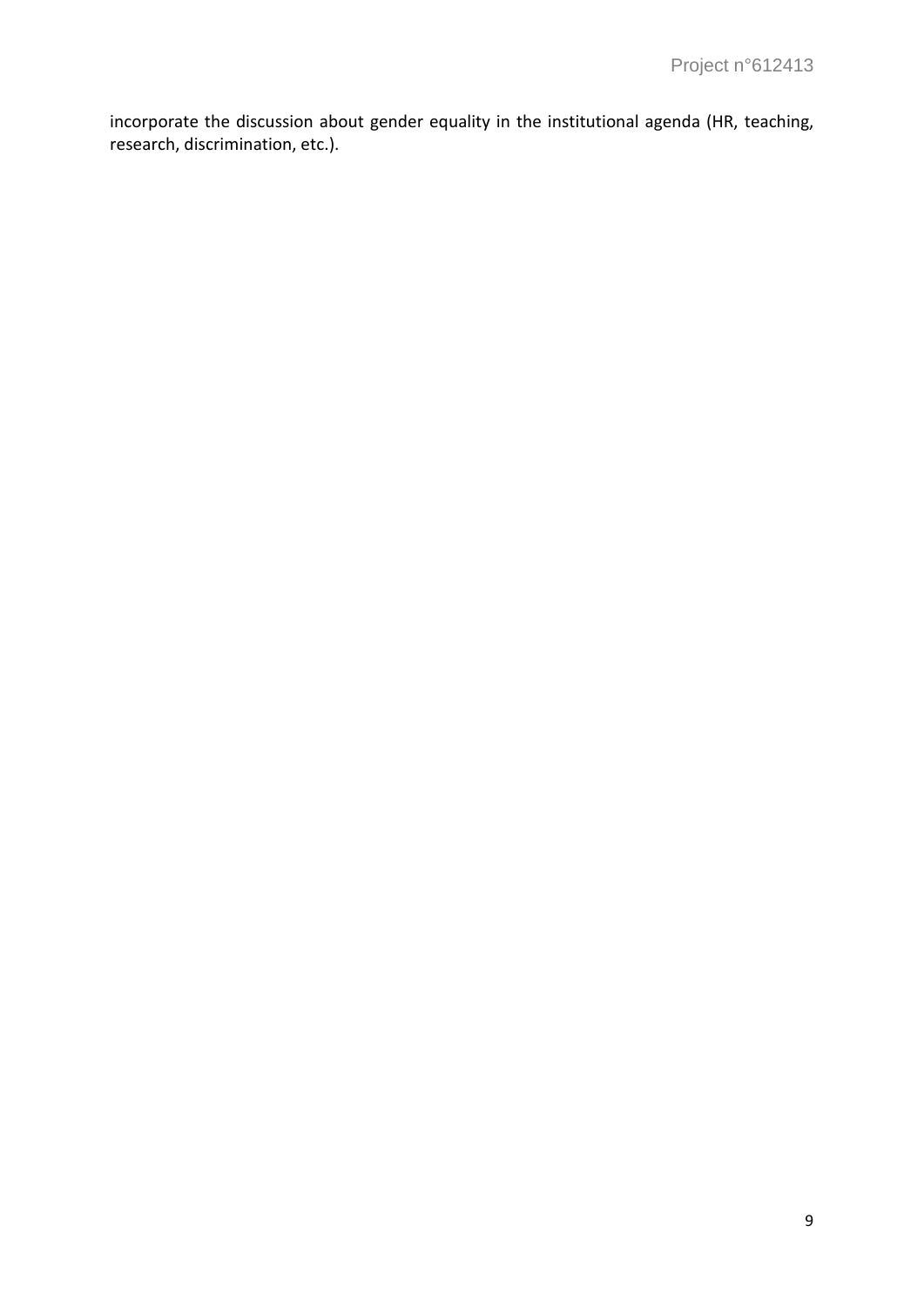incorporate the discussion about gender equality in the institutional agenda (HR, teaching, research, discrimination, etc.).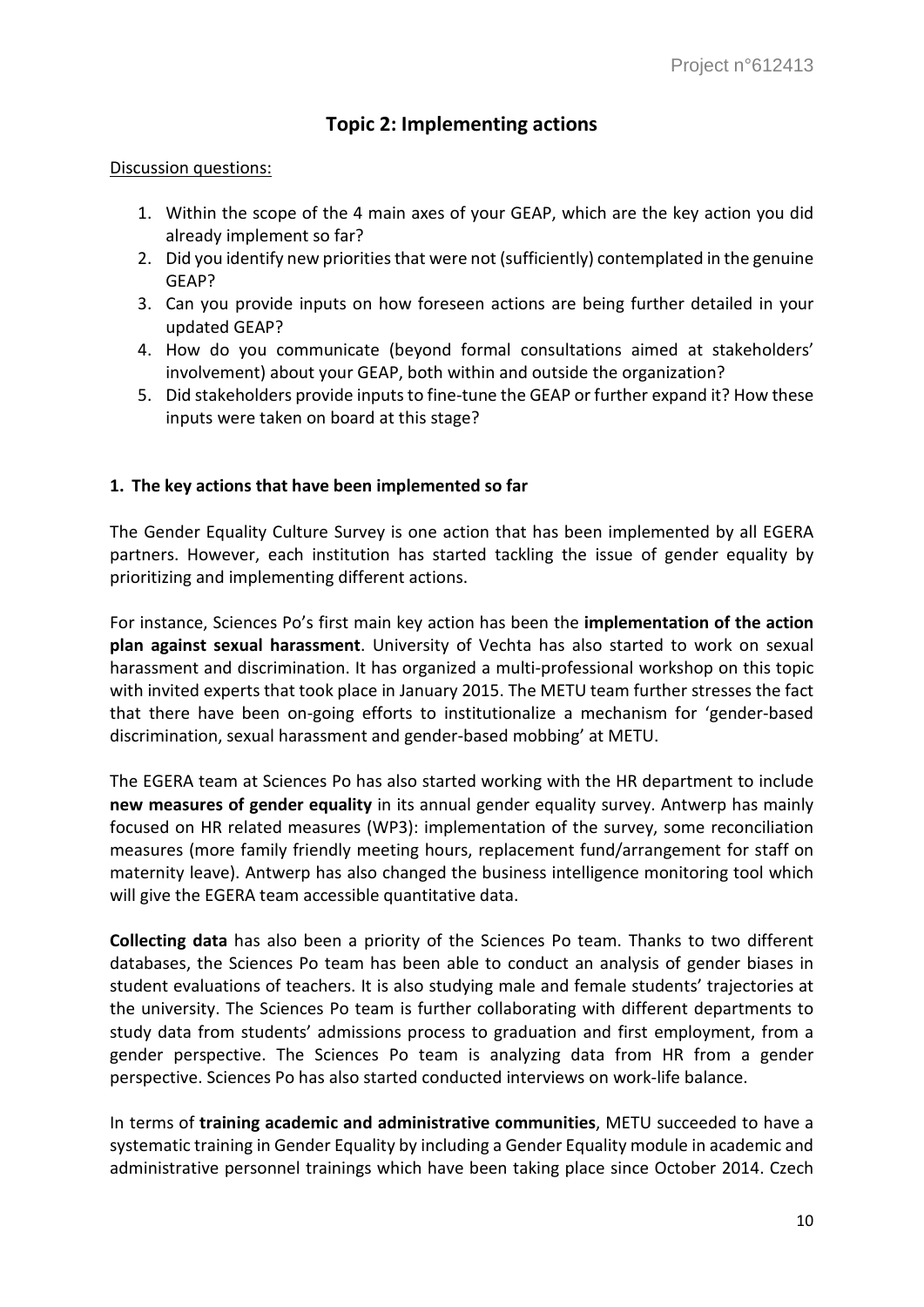# **Topic 2: Implementing actions**

#### Discussion questions:

- 1. Within the scope of the 4 main axes of your GEAP, which are the key action you did already implement so far?
- 2. Did you identify new priorities that were not (sufficiently) contemplated in the genuine GEAP?
- 3. Can you provide inputs on how foreseen actions are being further detailed in your updated GEAP?
- 4. How do you communicate (beyond formal consultations aimed at stakeholders' involvement) about your GEAP, both within and outside the organization?
- 5. Did stakeholders provide inputs to fine-tune the GEAP or further expand it? How these inputs were taken on board at this stage?

### **1. The key actions that have been implemented so far**

The Gender Equality Culture Survey is one action that has been implemented by all EGERA partners. However, each institution has started tackling the issue of gender equality by prioritizing and implementing different actions.

For instance, Sciences Po's first main key action has been the **implementation of the action plan against sexual harassment**. University of Vechta has also started to work on sexual harassment and discrimination. It has organized a multi-professional workshop on this topic with invited experts that took place in January 2015. The METU team further stresses the fact that there have been on-going efforts to institutionalize a mechanism for 'gender-based discrimination, sexual harassment and gender-based mobbing' at METU.

The EGERA team at Sciences Po has also started working with the HR department to include **new measures of gender equality** in its annual gender equality survey. Antwerp has mainly focused on HR related measures (WP3): implementation of the survey, some reconciliation measures (more family friendly meeting hours, replacement fund/arrangement for staff on maternity leave). Antwerp has also changed the business intelligence monitoring tool which will give the EGERA team accessible quantitative data.

**Collecting data** has also been a priority of the Sciences Po team. Thanks to two different databases, the Sciences Po team has been able to conduct an analysis of gender biases in student evaluations of teachers. It is also studying male and female students' trajectories at the university. The Sciences Po team is further collaborating with different departments to study data from students' admissions process to graduation and first employment, from a gender perspective. The Sciences Po team is analyzing data from HR from a gender perspective. Sciences Po has also started conducted interviews on work-life balance.

In terms of **training academic and administrative communities**, METU succeeded to have a systematic training in Gender Equality by including a Gender Equality module in academic and administrative personnel trainings which have been taking place since October 2014. Czech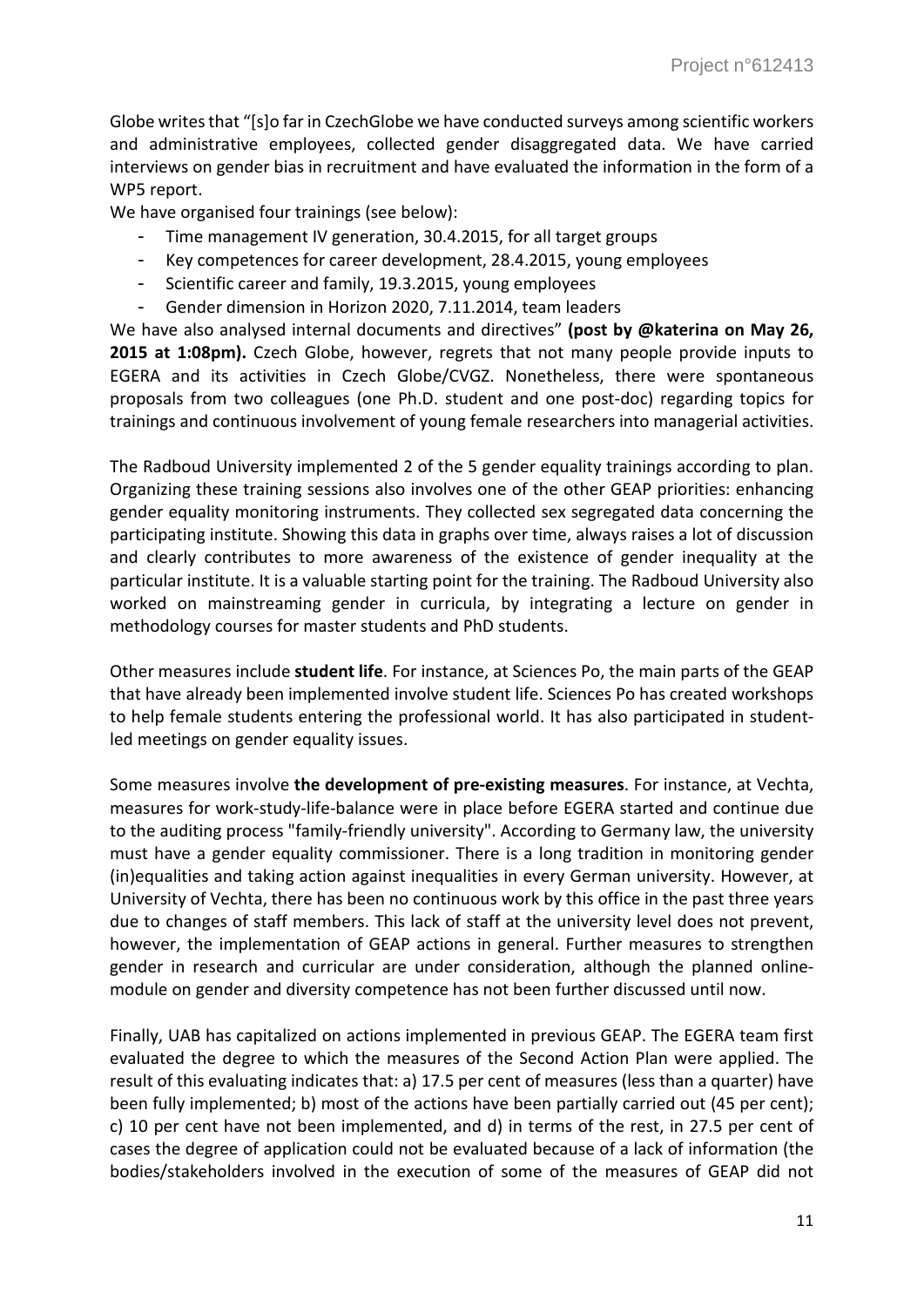Globe writes that "[s]o far in CzechGlobe we have conducted surveys among scientific workers and administrative employees, collected gender disaggregated data. We have carried interviews on gender bias in recruitment and have evaluated the information in the form of a WP5 report.

We have organised four trainings (see below):

- Time management IV generation, 30.4.2015, for all target groups
- Key competences for career development, 28.4.2015, young employees
- Scientific career and family, 19.3.2015, young employees
- Gender dimension in Horizon 2020, 7.11.2014, team leaders

We have also analysed internal documents and directives" **(post by @katerina on May 26,**  2015 at 1:08pm). Czech Globe, however, regrets that not many people provide inputs to EGERA and its activities in Czech Globe/CVGZ. Nonetheless, there were spontaneous proposals from two colleagues (one Ph.D. student and one post-doc) regarding topics for trainings and continuous involvement of young female researchers into managerial activities.

The Radboud University implemented 2 of the 5 gender equality trainings according to plan. Organizing these training sessions also involves one of the other GEAP priorities: enhancing gender equality monitoring instruments. They collected sex segregated data concerning the participating institute. Showing this data in graphs over time, always raises a lot of discussion and clearly contributes to more awareness of the existence of gender inequality at the particular institute. It is a valuable starting point for the training. The Radboud University also worked on mainstreaming gender in curricula, by integrating a lecture on gender in methodology courses for master students and PhD students.

Other measures include **student life**. For instance, at Sciences Po, the main parts of the GEAP that have already been implemented involve student life. Sciences Po has created workshops to help female students entering the professional world. It has also participated in studentled meetings on gender equality issues.

Some measures involve **the development of pre-existing measures**. For instance, at Vechta, measures for work-study-life-balance were in place before EGERA started and continue due to the auditing process "family-friendly university". According to Germany law, the university must have a gender equality commissioner. There is a long tradition in monitoring gender (in)equalities and taking action against inequalities in every German university. However, at University of Vechta, there has been no continuous work by this office in the past three years due to changes of staff members. This lack of staff at the university level does not prevent, however, the implementation of GEAP actions in general. Further measures to strengthen gender in research and curricular are under consideration, although the planned onlinemodule on gender and diversity competence has not been further discussed until now.

Finally, UAB has capitalized on actions implemented in previous GEAP. The EGERA team first evaluated the degree to which the measures of the Second Action Plan were applied. The result of this evaluating indicates that: a) 17.5 per cent of measures (less than a quarter) have been fully implemented; b) most of the actions have been partially carried out (45 per cent); c) 10 per cent have not been implemented, and d) in terms of the rest, in 27.5 per cent of cases the degree of application could not be evaluated because of a lack of information (the bodies/stakeholders involved in the execution of some of the measures of GEAP did not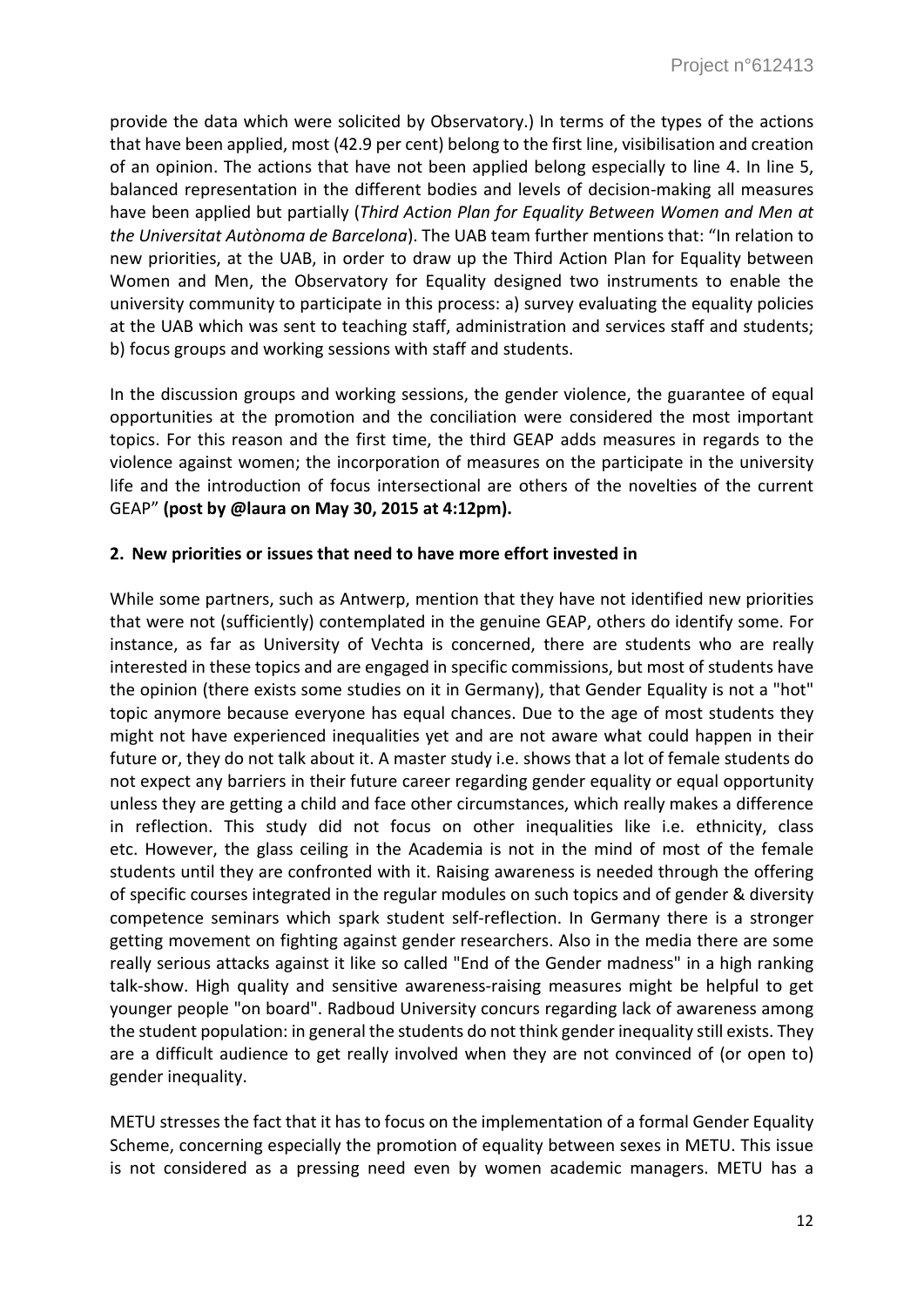provide the data which were solicited by Observatory.) In terms of the types of the actions that have been applied, most (42.9 per cent) belong to the first line, visibilisation and creation of an opinion. The actions that have not been applied belong especially to line 4. In line 5, balanced representation in the different bodies and levels of decision-making all measures have been applied but partially (*Third Action Plan for Equality Between Women and Men at the Universitat Autònoma de Barcelona*). The UAB team further mentions that: "In relation to new priorities, at the UAB, in order to draw up the Third Action Plan for Equality between Women and Men, the Observatory for Equality designed two instruments to enable the university community to participate in this process: a) survey evaluating the equality policies at the UAB which was sent to teaching staff, administration and services staff and students; b) focus groups and working sessions with staff and students.

In the discussion groups and working sessions, the gender violence, the guarantee of equal opportunities at the promotion and the conciliation were considered the most important topics. For this reason and the first time, the third GEAP adds measures in regards to the violence against women; the incorporation of measures on the participate in the university life and the introduction of focus intersectional are others of the novelties of the current GEAP" **(post by @laura on May 30, 2015 at 4:12pm).**

# **2. New priorities or issues that need to have more effort invested in**

While some partners, such as Antwerp, mention that they have not identified new priorities that were not (sufficiently) contemplated in the genuine GEAP, others do identify some. For instance, as far as University of Vechta is concerned, there are students who are really interested in these topics and are engaged in specific commissions, but most of students have the opinion (there exists some studies on it in Germany), that Gender Equality is not a "hot" topic anymore because everyone has equal chances. Due to the age of most students they might not have experienced inequalities yet and are not aware what could happen in their future or, they do not talk about it. A master study i.e. shows that a lot of female students do not expect any barriers in their future career regarding gender equality or equal opportunity unless they are getting a child and face other circumstances, which really makes a difference in reflection. This study did not focus on other inequalities like i.e. ethnicity, class etc. However, the glass ceiling in the Academia is not in the mind of most of the female students until they are confronted with it. Raising awareness is needed through the offering of specific courses integrated in the regular modules on such topics and of gender & diversity competence seminars which spark student self-reflection. In Germany there is a stronger getting movement on fighting against gender researchers. Also in the media there are some really serious attacks against it like so called "End of the Gender madness" in a high ranking talk-show. High quality and sensitive awareness-raising measures might be helpful to get younger people "on board". Radboud University concurs regarding lack of awareness among the student population: in general the students do not think gender inequality still exists. They are a difficult audience to get really involved when they are not convinced of (or open to) gender inequality.

METU stresses the fact that it has to focus on the implementation of a formal Gender Equality Scheme, concerning especially the promotion of equality between sexes in METU. This issue is not considered as a pressing need even by women academic managers. METU has a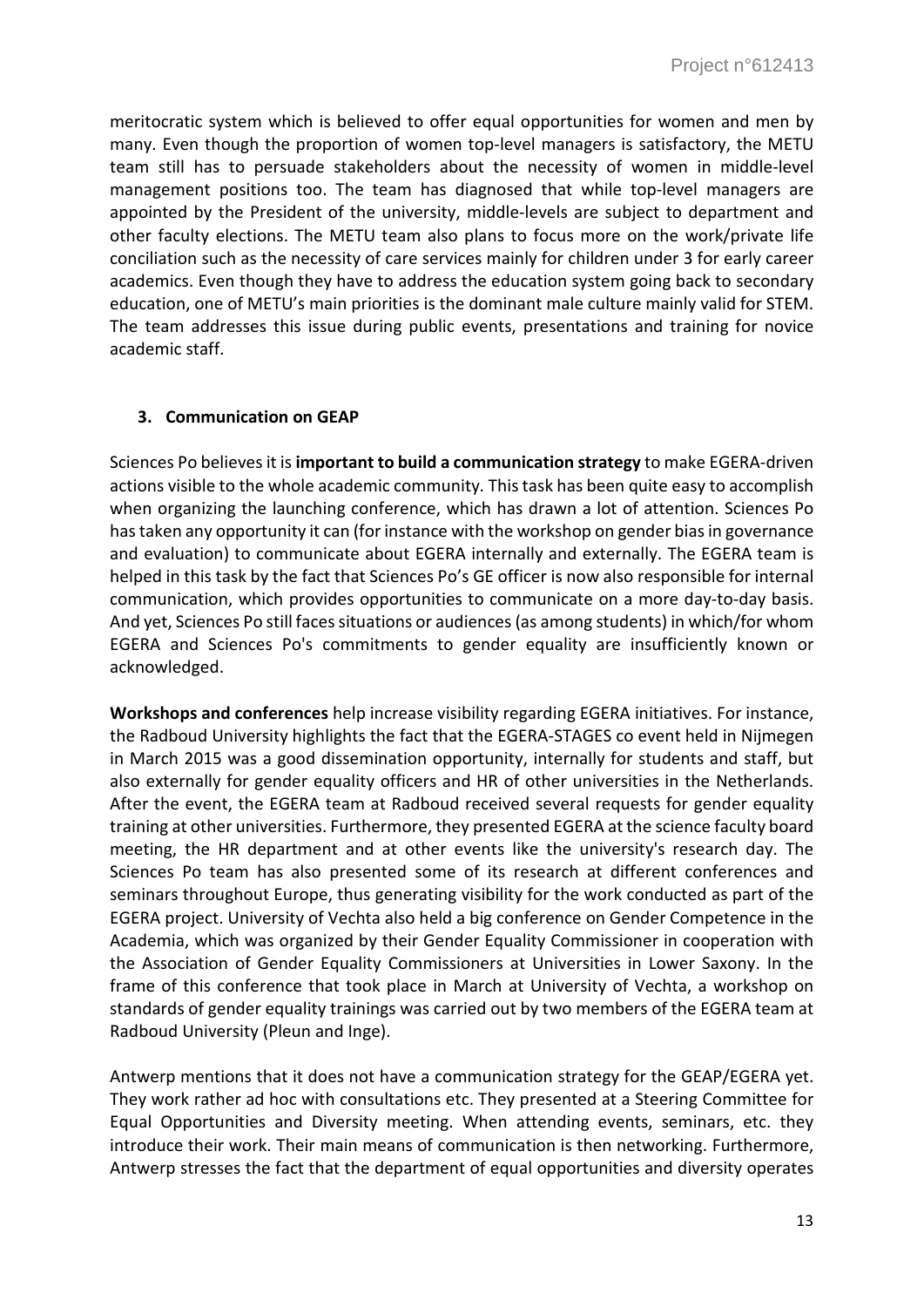meritocratic system which is believed to offer equal opportunities for women and men by many. Even though the proportion of women top-level managers is satisfactory, the METU team still has to persuade stakeholders about the necessity of women in middle-level management positions too. The team has diagnosed that while top-level managers are appointed by the President of the university, middle-levels are subject to department and other faculty elections. The METU team also plans to focus more on the work/private life conciliation such as the necessity of care services mainly for children under 3 for early career academics. Even though they have to address the education system going back to secondary education, one of METU's main priorities is the dominant male culture mainly valid for STEM. The team addresses this issue during public events, presentations and training for novice academic staff.

### **3. Communication on GEAP**

Sciences Po believes it is **important to build a communication strategy** to make EGERA-driven actions visible to the whole academic community. This task has been quite easy to accomplish when organizing the launching conference, which has drawn a lot of attention. Sciences Po has taken any opportunity it can (for instance with the workshop on gender bias in governance and evaluation) to communicate about EGERA internally and externally. The EGERA team is helped in this task by the fact that Sciences Po's GE officer is now also responsible for internal communication, which provides opportunities to communicate on a more day-to-day basis. And yet, Sciences Po still faces situations or audiences (as among students) in which/for whom EGERA and Sciences Po's commitments to gender equality are insufficiently known or acknowledged.

**Workshops and conferences** help increase visibility regarding EGERA initiatives. For instance, the Radboud University highlights the fact that the EGERA-STAGES co event held in Nijmegen in March 2015 was a good dissemination opportunity, internally for students and staff, but also externally for gender equality officers and HR of other universities in the Netherlands. After the event, the EGERA team at Radboud received several requests for gender equality training at other universities. Furthermore, they presented EGERA at the science faculty board meeting, the HR department and at other events like the university's research day. The Sciences Po team has also presented some of its research at different conferences and seminars throughout Europe, thus generating visibility for the work conducted as part of the EGERA project. University of Vechta also held a big conference on Gender Competence in the Academia, which was organized by their Gender Equality Commissioner in cooperation with the Association of Gender Equality Commissioners at Universities in Lower Saxony. In the frame of this conference that took place in March at University of Vechta, a workshop on standards of gender equality trainings was carried out by two members of the EGERA team at Radboud University (Pleun and Inge).

Antwerp mentions that it does not have a communication strategy for the GEAP/EGERA yet. They work rather ad hoc with consultations etc. They presented at a Steering Committee for Equal Opportunities and Diversity meeting. When attending events, seminars, etc. they introduce their work. Their main means of communication is then networking. Furthermore, Antwerp stresses the fact that the department of equal opportunities and diversity operates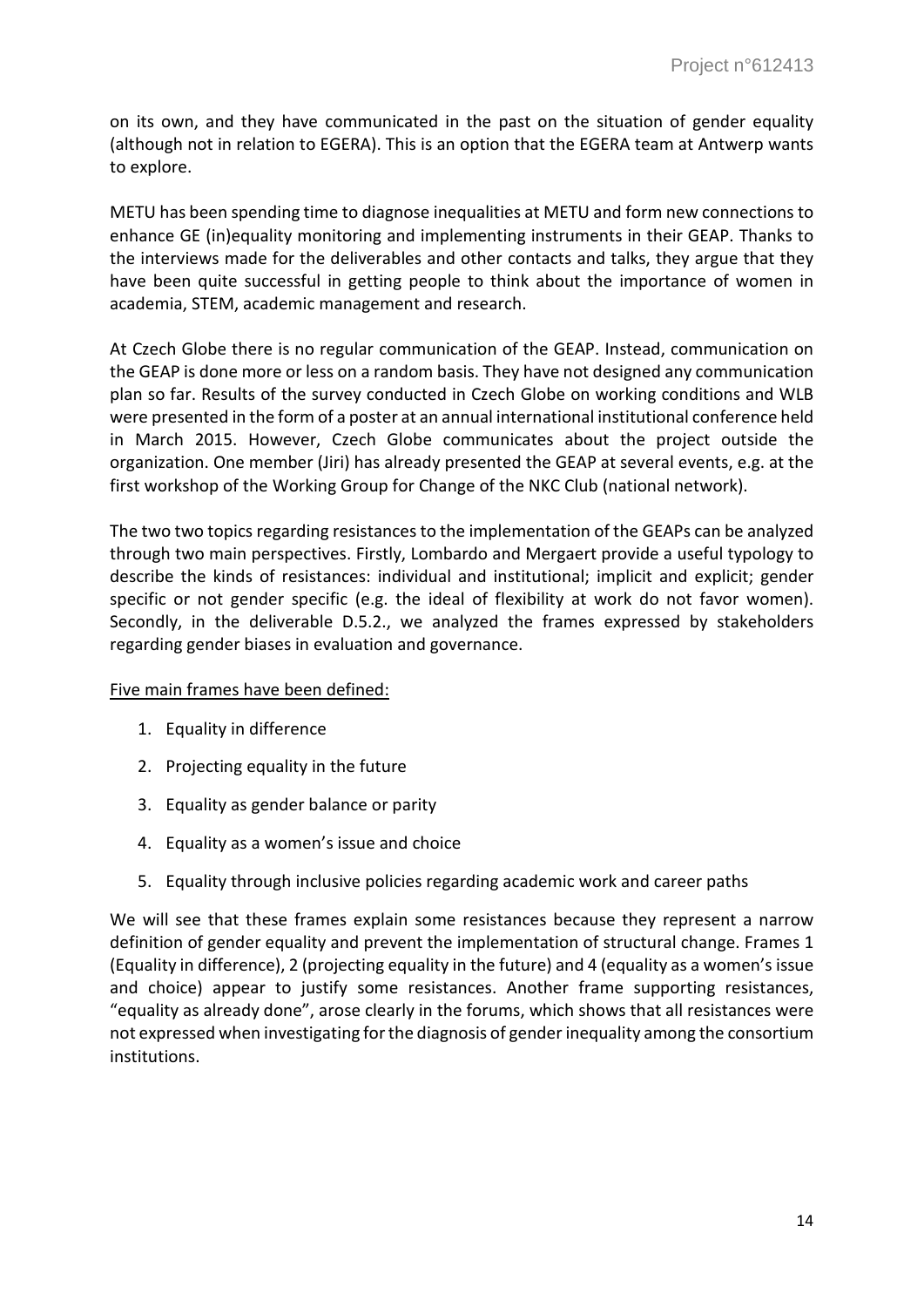on its own, and they have communicated in the past on the situation of gender equality (although not in relation to EGERA). This is an option that the EGERA team at Antwerp wants to explore.

METU has been spending time to diagnose inequalities at METU and form new connections to enhance GE (in)equality monitoring and implementing instruments in their GEAP. Thanks to the interviews made for the deliverables and other contacts and talks, they argue that they have been quite successful in getting people to think about the importance of women in academia, STEM, academic management and research.

At Czech Globe there is no regular communication of the GEAP. Instead, communication on the GEAP is done more or less on a random basis. They have not designed any communication plan so far. Results of the survey conducted in Czech Globe on working conditions and WLB were presented in the form of a poster at an annual international institutional conference held in March 2015. However, Czech Globe communicates about the project outside the organization. One member (Jiri) has already presented the GEAP at several events, e.g. at the first workshop of the Working Group for Change of the NKC Club (national network).

The two two topics regarding resistances to the implementation of the GEAPs can be analyzed through two main perspectives. Firstly, Lombardo and Mergaert provide a useful typology to describe the kinds of resistances: individual and institutional; implicit and explicit; gender specific or not gender specific (e.g. the ideal of flexibility at work do not favor women). Secondly, in the deliverable D.5.2., we analyzed the frames expressed by stakeholders regarding gender biases in evaluation and governance.

# Five main frames have been defined:

- 1. Equality in difference
- 2. Projecting equality in the future
- 3. Equality as gender balance or parity
- 4. Equality as a women's issue and choice
- 5. Equality through inclusive policies regarding academic work and career paths

We will see that these frames explain some resistances because they represent a narrow definition of gender equality and prevent the implementation of structural change. Frames 1 (Equality in difference), 2 (projecting equality in the future) and 4 (equality as a women's issue and choice) appear to justify some resistances. Another frame supporting resistances, "equality as already done", arose clearly in the forums, which shows that all resistances were not expressed when investigating for the diagnosis of gender inequality among the consortium institutions.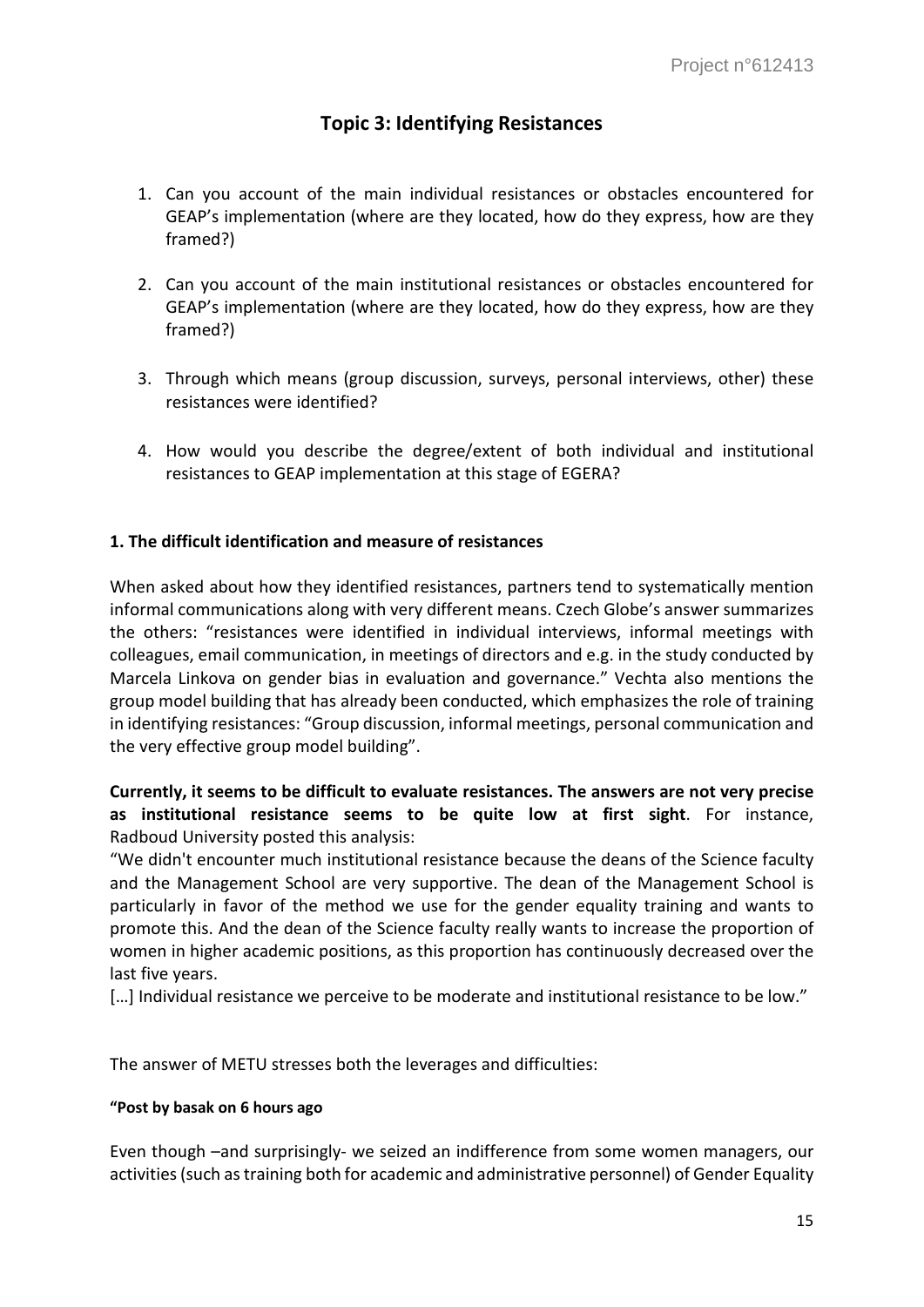# **Topic 3: Identifying Resistances**

- 1. Can you account of the main individual resistances or obstacles encountered for GEAP's implementation (where are they located, how do they express, how are they framed?)
- 2. Can you account of the main institutional resistances or obstacles encountered for GEAP's implementation (where are they located, how do they express, how are they framed?)
- 3. Through which means (group discussion, surveys, personal interviews, other) these resistances were identified?
- 4. How would you describe the degree/extent of both individual and institutional resistances to GEAP implementation at this stage of EGERA?

# **1. The difficult identification and measure of resistances**

When asked about how they identified resistances, partners tend to systematically mention informal communications along with very different means. Czech Globe's answer summarizes the others: "resistances were identified in individual interviews, informal meetings with colleagues, email communication, in meetings of directors and e.g. in the study conducted by Marcela Linkova on gender bias in evaluation and governance." Vechta also mentions the group model building that has already been conducted, which emphasizes the role of training in identifying resistances: "Group discussion, informal meetings, personal communication and the very effective group model building".

# **Currently, it seems to be difficult to evaluate resistances. The answers are not very precise as institutional resistance seems to be quite low at first sight**. For instance, Radboud University posted this analysis:

"We didn't encounter much institutional resistance because the deans of the Science faculty and the Management School are very supportive. The dean of the Management School is particularly in favor of the method we use for the gender equality training and wants to promote this. And the dean of the Science faculty really wants to increase the proportion of women in higher academic positions, as this proportion has continuously decreased over the last five years.

[...] Individual resistance we perceive to be moderate and institutional resistance to be low."

The answer of METU stresses both the leverages and difficulties:

# **"Post by basak on 6 hours ago**

Even though –and surprisingly- we seized an indifference from some women managers, our activities (such as training both for academic and administrative personnel) of Gender Equality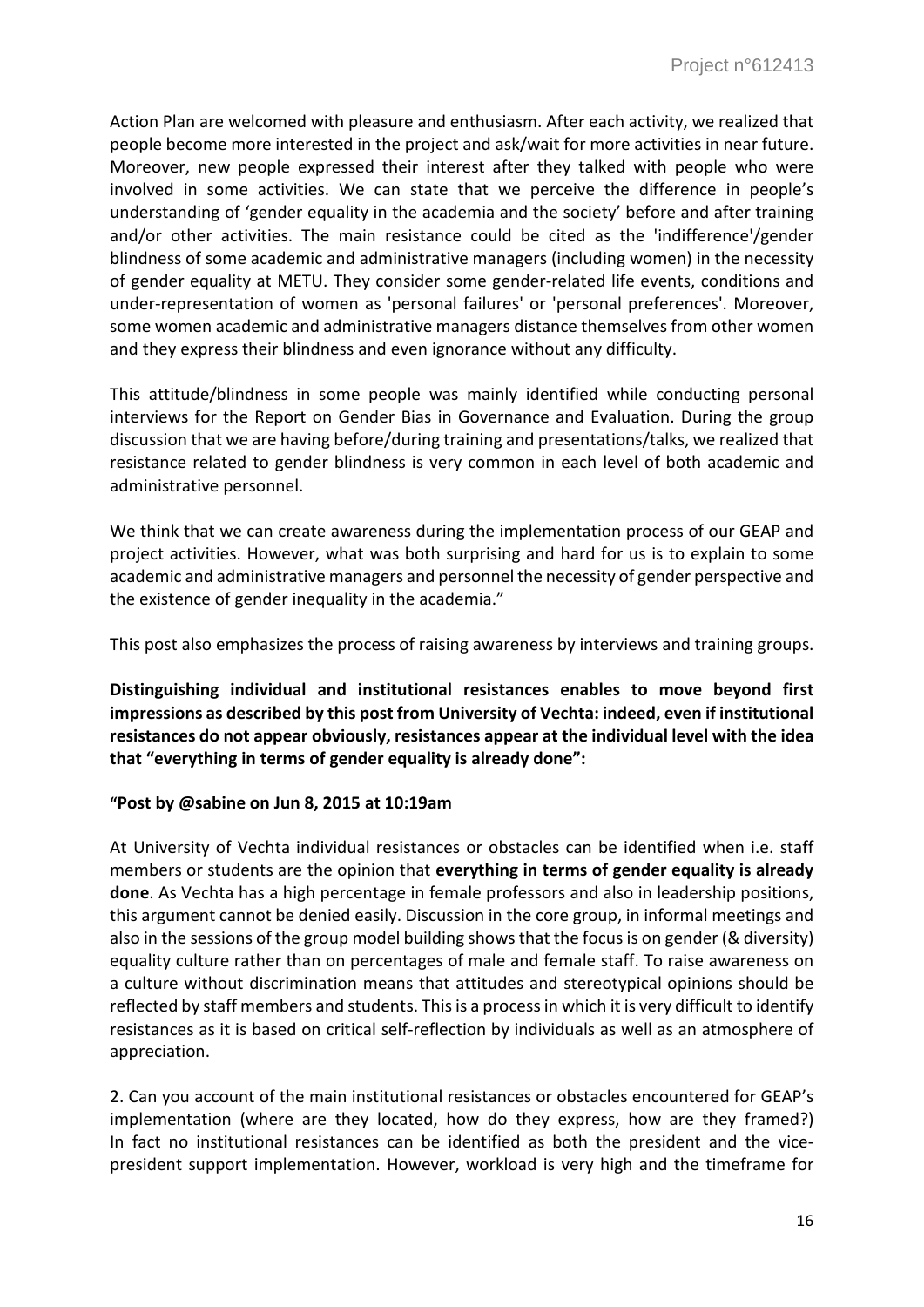Action Plan are welcomed with pleasure and enthusiasm. After each activity, we realized that people become more interested in the project and ask/wait for more activities in near future. Moreover, new people expressed their interest after they talked with people who were involved in some activities. We can state that we perceive the difference in people's understanding of 'gender equality in the academia and the society' before and after training and/or other activities. The main resistance could be cited as the 'indifference'/gender blindness of some academic and administrative managers (including women) in the necessity of gender equality at METU. They consider some gender-related life events, conditions and under-representation of women as 'personal failures' or 'personal preferences'. Moreover, some women academic and administrative managers distance themselves from other women and they express their blindness and even ignorance without any difficulty.

This attitude/blindness in some people was mainly identified while conducting personal interviews for the Report on Gender Bias in Governance and Evaluation. During the group discussion that we are having before/during training and presentations/talks, we realized that resistance related to gender blindness is very common in each level of both academic and administrative personnel.

We think that we can create awareness during the implementation process of our GEAP and project activities. However, what was both surprising and hard for us is to explain to some academic and administrative managers and personnel the necessity of gender perspective and the existence of gender inequality in the academia."

This post also emphasizes the process of raising awareness by interviews and training groups.

**Distinguishing individual and institutional resistances enables to move beyond first impressions as described by this post from University of Vechta: indeed, even if institutional resistances do not appear obviously, resistances appear at the individual level with the idea that "everything in terms of gender equality is already done":**

#### **"Post by @sabine on Jun 8, 2015 at 10:19am**

At University of Vechta individual resistances or obstacles can be identified when i.e. staff members or students are the opinion that **everything in terms of gender equality is already done**. As Vechta has a high percentage in female professors and also in leadership positions, this argument cannot be denied easily. Discussion in the core group, in informal meetings and also in the sessions of the group model building shows that the focus is on gender (& diversity) equality culture rather than on percentages of male and female staff. To raise awareness on a culture without discrimination means that attitudes and stereotypical opinions should be reflected by staff members and students. This is a process in which it is very difficult to identify resistances as it is based on critical self-reflection by individuals as well as an atmosphere of appreciation.

2. Can you account of the main institutional resistances or obstacles encountered for GEAP's implementation (where are they located, how do they express, how are they framed?) In fact no institutional resistances can be identified as both the president and the vicepresident support implementation. However, workload is very high and the timeframe for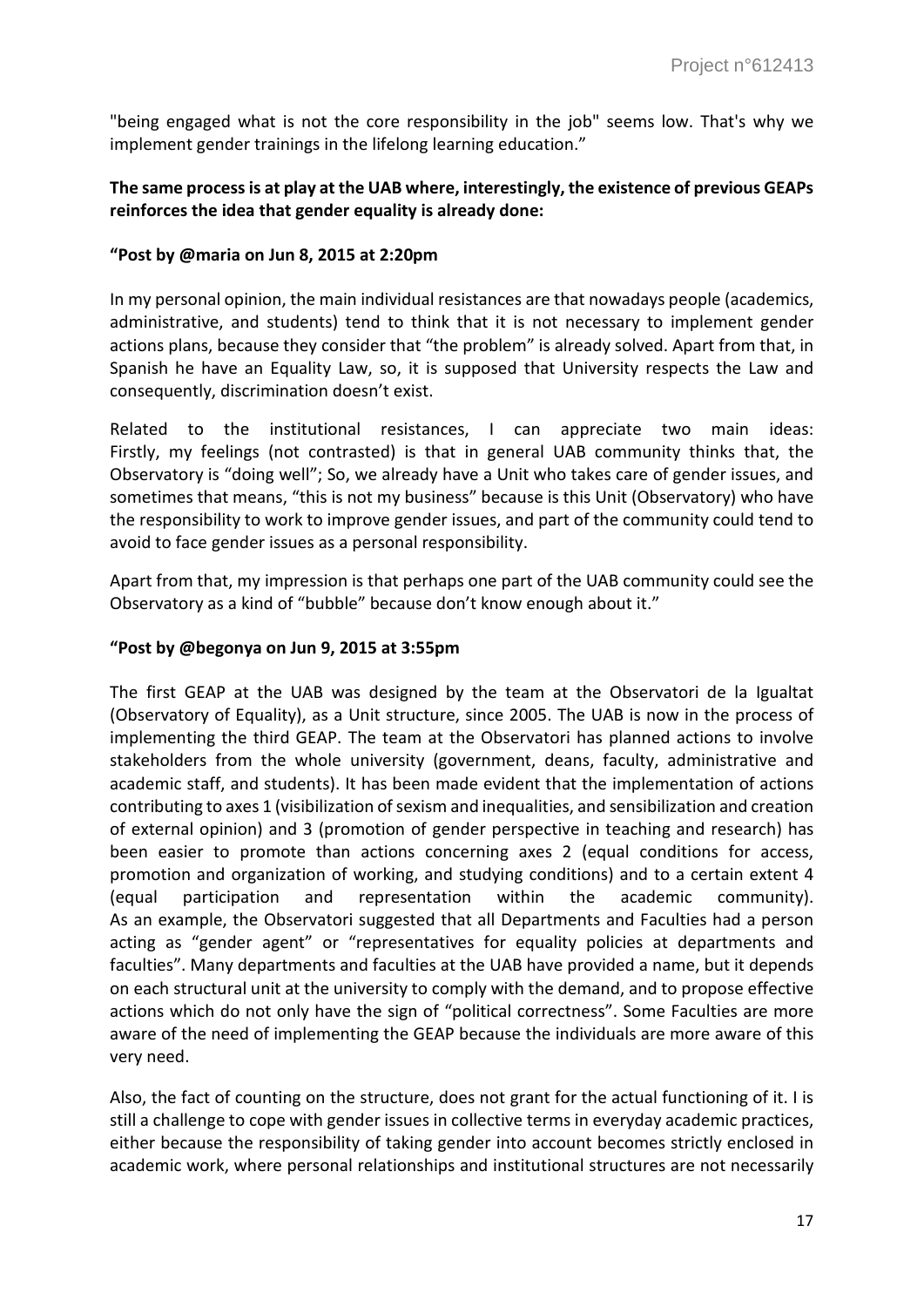"being engaged what is not the core responsibility in the job" seems low. That's why we implement gender trainings in the lifelong learning education."

### **The same process is at play at the UAB where, interestingly, the existence of previous GEAPs reinforces the idea that gender equality is already done:**

### **"Post by @maria on Jun 8, 2015 at 2:20pm**

In my personal opinion, the main individual resistances are that nowadays people (academics, administrative, and students) tend to think that it is not necessary to implement gender actions plans, because they consider that "the problem" is already solved. Apart from that, in Spanish he have an Equality Law, so, it is supposed that University respects the Law and consequently, discrimination doesn't exist.

Related to the institutional resistances, I can appreciate two main ideas: Firstly, my feelings (not contrasted) is that in general UAB community thinks that, the Observatory is "doing well"; So, we already have a Unit who takes care of gender issues, and sometimes that means, "this is not my business" because is this Unit (Observatory) who have the responsibility to work to improve gender issues, and part of the community could tend to avoid to face gender issues as a personal responsibility.

Apart from that, my impression is that perhaps one part of the UAB community could see the Observatory as a kind of "bubble" because don't know enough about it."

#### **"Post by @begonya on Jun 9, 2015 at 3:55pm**

The first GEAP at the UAB was designed by the team at the Observatori de la Igualtat (Observatory of Equality), as a Unit structure, since 2005. The UAB is now in the process of implementing the third GEAP. The team at the Observatori has planned actions to involve stakeholders from the whole university (government, deans, faculty, administrative and academic staff, and students). It has been made evident that the implementation of actions contributing to axes 1 (visibilization of sexism and inequalities, and sensibilization and creation of external opinion) and 3 (promotion of gender perspective in teaching and research) has been easier to promote than actions concerning axes 2 (equal conditions for access, promotion and organization of working, and studying conditions) and to a certain extent 4 (equal participation and representation within the academic community). As an example, the Observatori suggested that all Departments and Faculties had a person acting as "gender agent" or "representatives for equality policies at departments and faculties". Many departments and faculties at the UAB have provided a name, but it depends on each structural unit at the university to comply with the demand, and to propose effective actions which do not only have the sign of "political correctness". Some Faculties are more aware of the need of implementing the GEAP because the individuals are more aware of this very need.

Also, the fact of counting on the structure, does not grant for the actual functioning of it. I is still a challenge to cope with gender issues in collective terms in everyday academic practices, either because the responsibility of taking gender into account becomes strictly enclosed in academic work, where personal relationships and institutional structures are not necessarily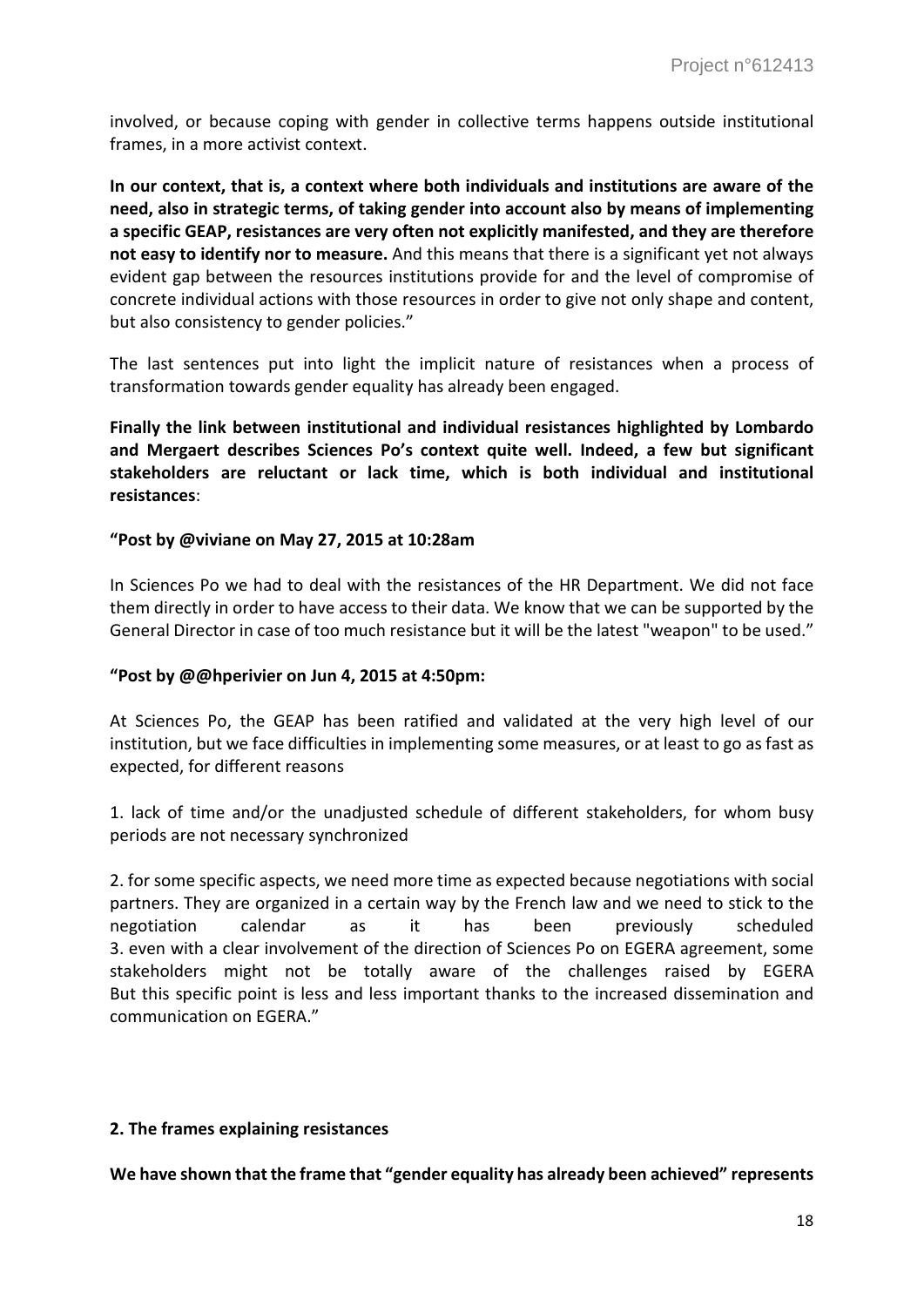involved, or because coping with gender in collective terms happens outside institutional frames, in a more activist context.

**In our context, that is, a context where both individuals and institutions are aware of the need, also in strategic terms, of taking gender into account also by means of implementing a specific GEAP, resistances are very often not explicitly manifested, and they are therefore not easy to identify nor to measure.** And this means that there is a significant yet not always evident gap between the resources institutions provide for and the level of compromise of concrete individual actions with those resources in order to give not only shape and content, but also consistency to gender policies."

The last sentences put into light the implicit nature of resistances when a process of transformation towards gender equality has already been engaged.

**Finally the link between institutional and individual resistances highlighted by Lombardo and Mergaert describes Sciences Po's context quite well. Indeed, a few but significant stakeholders are reluctant or lack time, which is both individual and institutional resistances**:

#### **"Post by @viviane on May 27, 2015 at 10:28am**

In Sciences Po we had to deal with the resistances of the HR Department. We did not face them directly in order to have access to their data. We know that we can be supported by the General Director in case of too much resistance but it will be the latest "weapon" to be used."

#### **"Post by @@hperivier on Jun 4, 2015 at 4:50pm:**

At Sciences Po, the GEAP has been ratified and validated at the very high level of our institution, but we face difficulties in implementing some measures, or at least to go as fast as expected, for different reasons

1. lack of time and/or the unadjusted schedule of different stakeholders, for whom busy periods are not necessary synchronized

2. for some specific aspects, we need more time as expected because negotiations with social partners. They are organized in a certain way by the French law and we need to stick to the negotiation calendar as it has been previously scheduled 3. even with a clear involvement of the direction of Sciences Po on EGERA agreement, some stakeholders might not be totally aware of the challenges raised by EGERA But this specific point is less and less important thanks to the increased dissemination and communication on EGERA."

#### **2. The frames explaining resistances**

**We have shown that the frame that "gender equality has already been achieved" represents**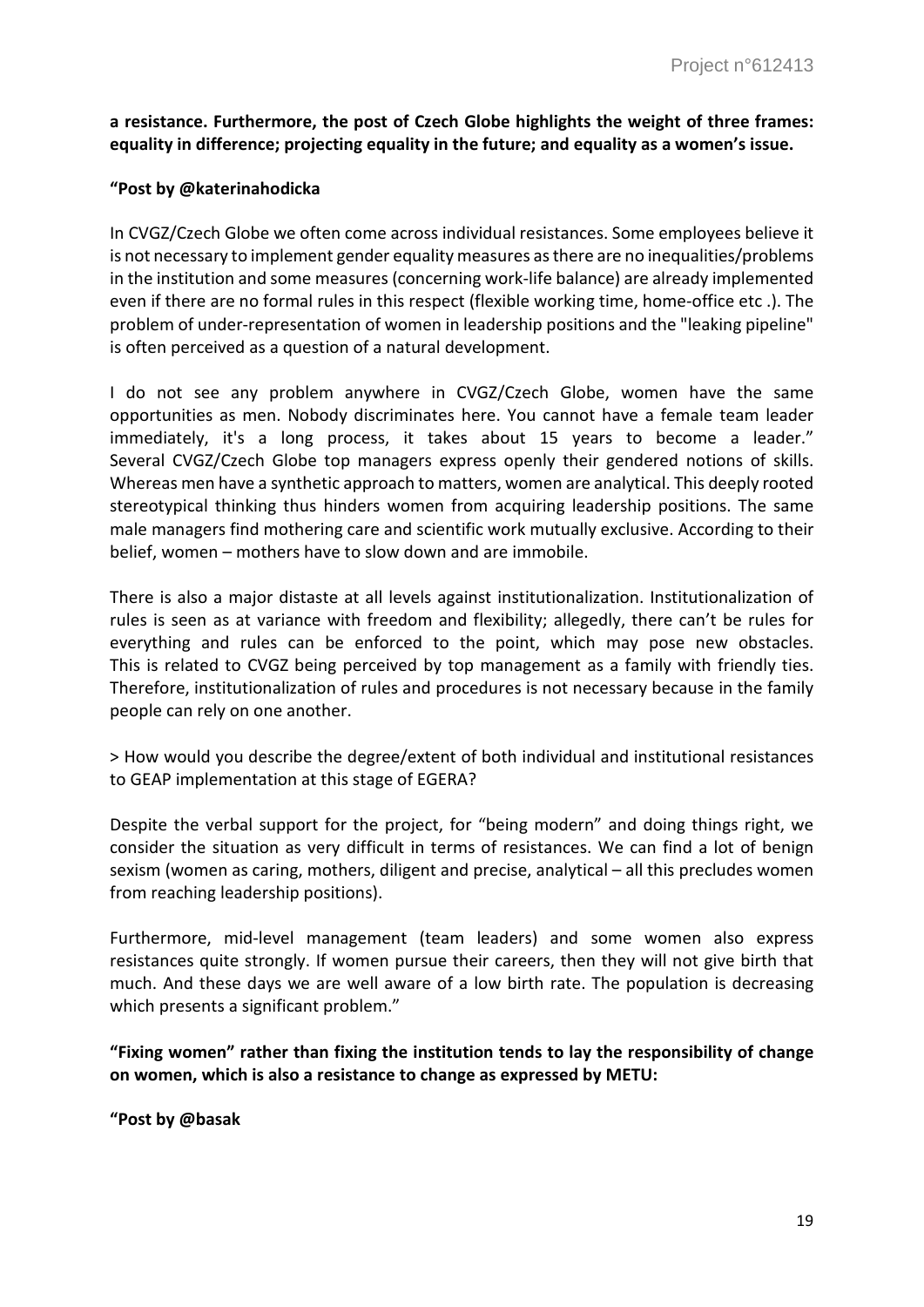**a resistance. Furthermore, the post of Czech Globe highlights the weight of three frames: equality in difference; projecting equality in the future; and equality as a women's issue.**

### **"Post by @katerinahodicka**

In CVGZ/Czech Globe we often come across individual resistances. Some employees believe it is not necessary to implement gender equality measures as there are no inequalities/problems in the institution and some measures (concerning work-life balance) are already implemented even if there are no formal rules in this respect (flexible working time, home-office etc .). The problem of under-representation of women in leadership positions and the "leaking pipeline" is often perceived as a question of a natural development.

I do not see any problem anywhere in CVGZ/Czech Globe, women have the same opportunities as men. Nobody discriminates here. You cannot have a female team leader immediately, it's a long process, it takes about 15 years to become a leader." Several CVGZ/Czech Globe top managers express openly their gendered notions of skills. Whereas men have a synthetic approach to matters, women are analytical. This deeply rooted stereotypical thinking thus hinders women from acquiring leadership positions. The same male managers find mothering care and scientific work mutually exclusive. According to their belief, women – mothers have to slow down and are immobile.

There is also a major distaste at all levels against institutionalization. Institutionalization of rules is seen as at variance with freedom and flexibility; allegedly, there can't be rules for everything and rules can be enforced to the point, which may pose new obstacles. This is related to CVGZ being perceived by top management as a family with friendly ties. Therefore, institutionalization of rules and procedures is not necessary because in the family people can rely on one another.

> How would you describe the degree/extent of both individual and institutional resistances to GEAP implementation at this stage of EGERA?

Despite the verbal support for the project, for "being modern" and doing things right, we consider the situation as very difficult in terms of resistances. We can find a lot of benign sexism (women as caring, mothers, diligent and precise, analytical – all this precludes women from reaching leadership positions).

Furthermore, mid-level management (team leaders) and some women also express resistances quite strongly. If women pursue their careers, then they will not give birth that much. And these days we are well aware of a low birth rate. The population is decreasing which presents a significant problem."

**"Fixing women" rather than fixing the institution tends to lay the responsibility of change on women, which is also a resistance to change as expressed by METU:**

**"Post by @basak**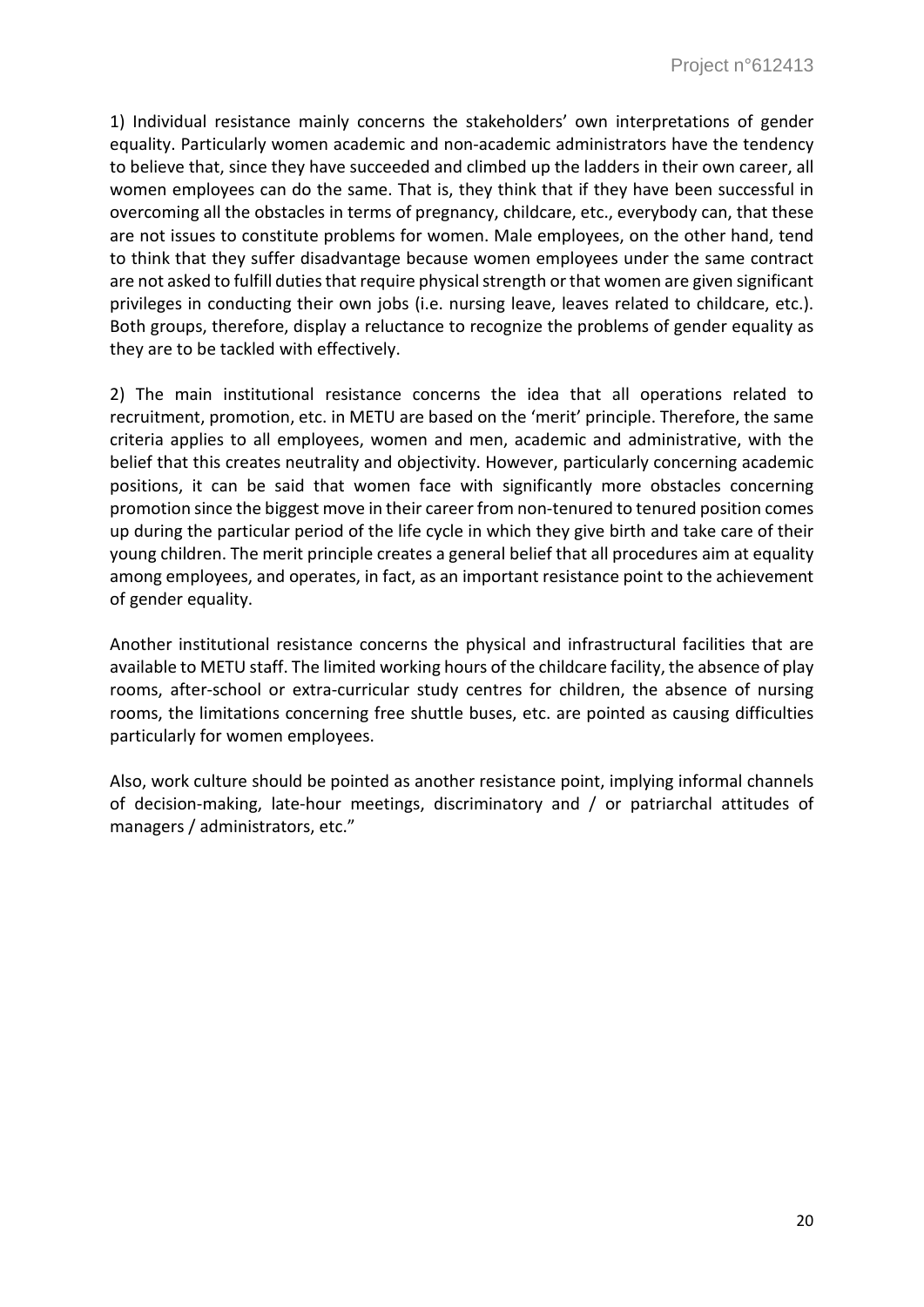1) Individual resistance mainly concerns the stakeholders' own interpretations of gender equality. Particularly women academic and non-academic administrators have the tendency to believe that, since they have succeeded and climbed up the ladders in their own career, all women employees can do the same. That is, they think that if they have been successful in overcoming all the obstacles in terms of pregnancy, childcare, etc., everybody can, that these are not issues to constitute problems for women. Male employees, on the other hand, tend to think that they suffer disadvantage because women employees under the same contract are not asked to fulfill duties that require physical strength or that women are given significant privileges in conducting their own jobs (i.e. nursing leave, leaves related to childcare, etc.). Both groups, therefore, display a reluctance to recognize the problems of gender equality as they are to be tackled with effectively.

2) The main institutional resistance concerns the idea that all operations related to recruitment, promotion, etc. in METU are based on the 'merit' principle. Therefore, the same criteria applies to all employees, women and men, academic and administrative, with the belief that this creates neutrality and objectivity. However, particularly concerning academic positions, it can be said that women face with significantly more obstacles concerning promotion since the biggest move in their career from non-tenured to tenured position comes up during the particular period of the life cycle in which they give birth and take care of their young children. The merit principle creates a general belief that all procedures aim at equality among employees, and operates, in fact, as an important resistance point to the achievement of gender equality.

Another institutional resistance concerns the physical and infrastructural facilities that are available to METU staff. The limited working hours of the childcare facility, the absence of play rooms, after-school or extra-curricular study centres for children, the absence of nursing rooms, the limitations concerning free shuttle buses, etc. are pointed as causing difficulties particularly for women employees.

Also, work culture should be pointed as another resistance point, implying informal channels of decision-making, late-hour meetings, discriminatory and / or patriarchal attitudes of managers / administrators, etc."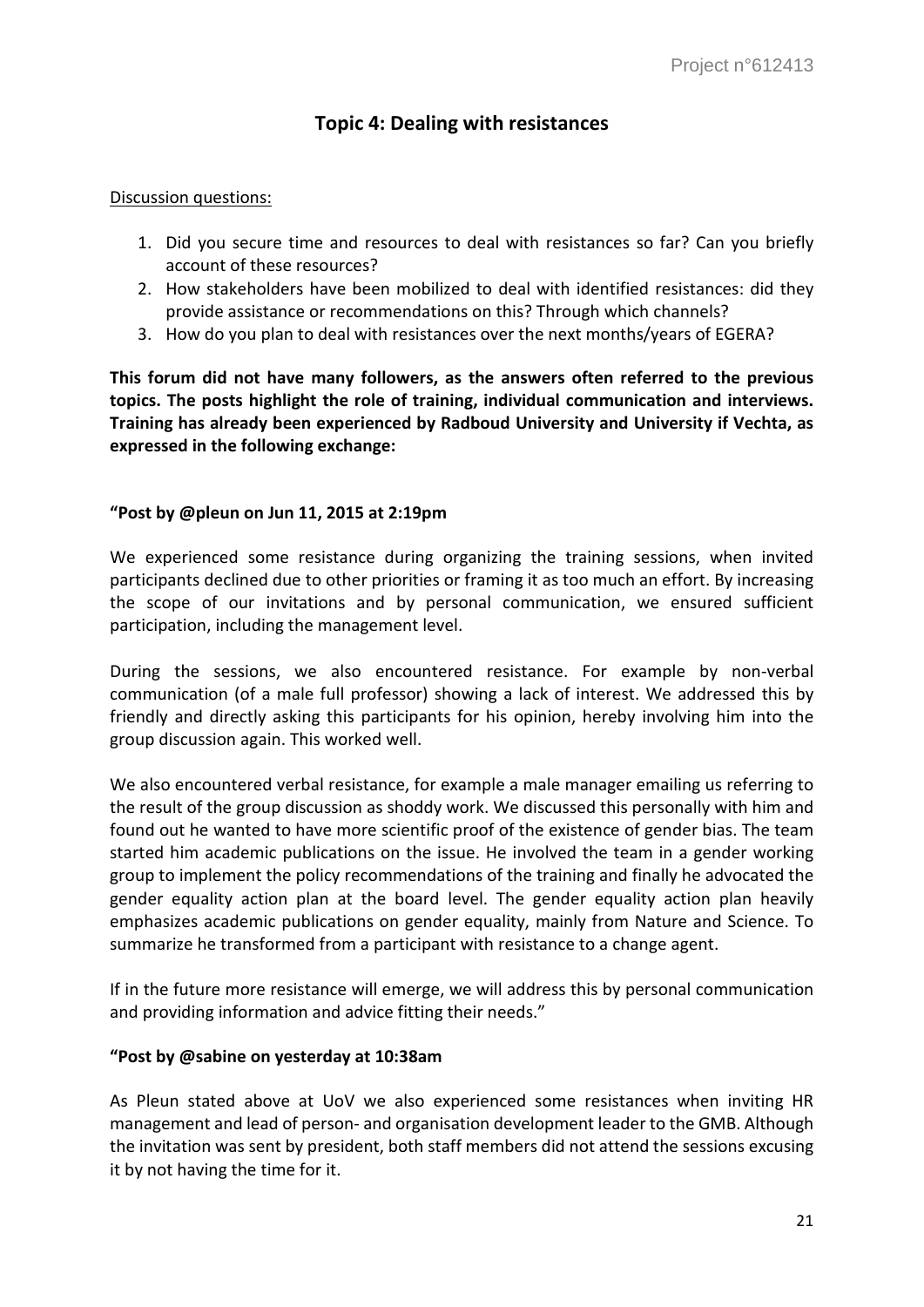# **Topic 4: Dealing with resistances**

### Discussion questions:

- 1. Did you secure time and resources to deal with resistances so far? Can you briefly account of these resources?
- 2. How stakeholders have been mobilized to deal with identified resistances: did they provide assistance or recommendations on this? Through which channels?
- 3. How do you plan to deal with resistances over the next months/years of EGERA?

**This forum did not have many followers, as the answers often referred to the previous topics. The posts highlight the role of training, individual communication and interviews. Training has already been experienced by Radboud University and University if Vechta, as expressed in the following exchange:**

# **"Post by @pleun on Jun 11, 2015 at 2:19pm**

We experienced some resistance during organizing the training sessions, when invited participants declined due to other priorities or framing it as too much an effort. By increasing the scope of our invitations and by personal communication, we ensured sufficient participation, including the management level.

During the sessions, we also encountered resistance. For example by non-verbal communication (of a male full professor) showing a lack of interest. We addressed this by friendly and directly asking this participants for his opinion, hereby involving him into the group discussion again. This worked well.

We also encountered verbal resistance, for example a male manager emailing us referring to the result of the group discussion as shoddy work. We discussed this personally with him and found out he wanted to have more scientific proof of the existence of gender bias. The team started him academic publications on the issue. He involved the team in a gender working group to implement the policy recommendations of the training and finally he advocated the gender equality action plan at the board level. The gender equality action plan heavily emphasizes academic publications on gender equality, mainly from Nature and Science. To summarize he transformed from a participant with resistance to a change agent.

If in the future more resistance will emerge, we will address this by personal communication and providing information and advice fitting their needs."

# **"Post by @sabine on yesterday at 10:38am**

As Pleun stated above at UoV we also experienced some resistances when inviting HR management and lead of person- and organisation development leader to the GMB. Although the invitation was sent by president, both staff members did not attend the sessions excusing it by not having the time for it.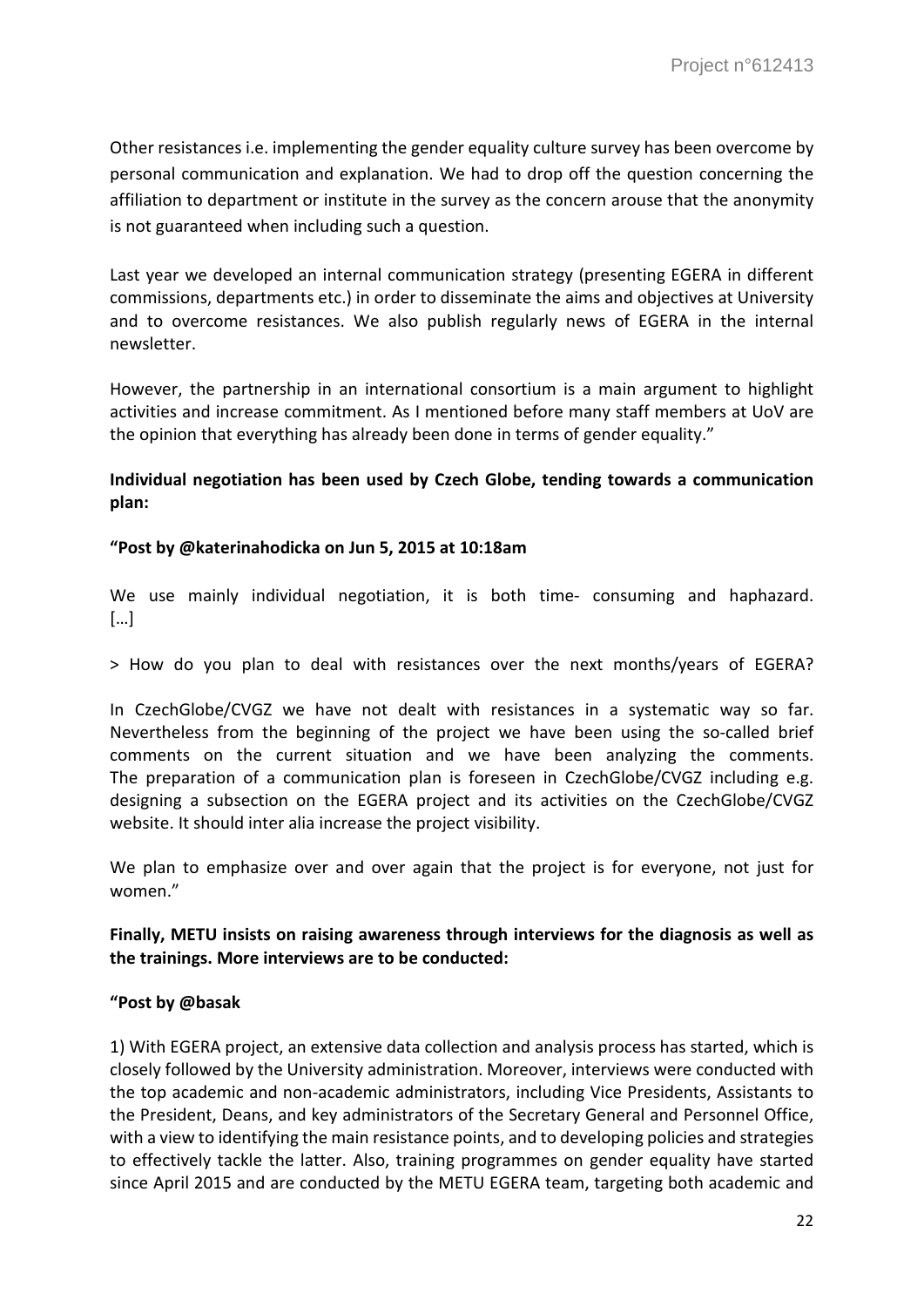Other resistances i.e. implementing the gender equality culture survey has been overcome by personal communication and explanation. We had to drop off the question concerning the affiliation to department or institute in the survey as the concern arouse that the anonymity is not guaranteed when including such a question.

Last year we developed an internal communication strategy (presenting EGERA in different commissions, departments etc.) in order to disseminate the aims and objectives at University and to overcome resistances. We also publish regularly news of EGERA in the internal newsletter.

However, the partnership in an international consortium is a main argument to highlight activities and increase commitment. As I mentioned before many staff members at UoV are the opinion that everything has already been done in terms of gender equality."

# **Individual negotiation has been used by Czech Globe, tending towards a communication plan:**

# **"Post by @katerinahodicka on Jun 5, 2015 at 10:18am**

We use mainly individual negotiation, it is both time- consuming and haphazard. […]

> How do you plan to deal with resistances over the next months/years of EGERA?

In CzechGlobe/CVGZ we have not dealt with resistances in a systematic way so far. Nevertheless from the beginning of the project we have been using the so-called brief comments on the current situation and we have been analyzing the comments. The preparation of a communication plan is foreseen in CzechGlobe/CVGZ including e.g. designing a subsection on the EGERA project and its activities on the CzechGlobe/CVGZ website. It should inter alia increase the project visibility.

We plan to emphasize over and over again that the project is for everyone, not just for women."

**Finally, METU insists on raising awareness through interviews for the diagnosis as well as the trainings. More interviews are to be conducted:**

# **"Post by @basak**

1) With EGERA project, an extensive data collection and analysis process has started, which is closely followed by the University administration. Moreover, interviews were conducted with the top academic and non-academic administrators, including Vice Presidents, Assistants to the President, Deans, and key administrators of the Secretary General and Personnel Office, with a view to identifying the main resistance points, and to developing policies and strategies to effectively tackle the latter. Also, training programmes on gender equality have started since April 2015 and are conducted by the METU EGERA team, targeting both academic and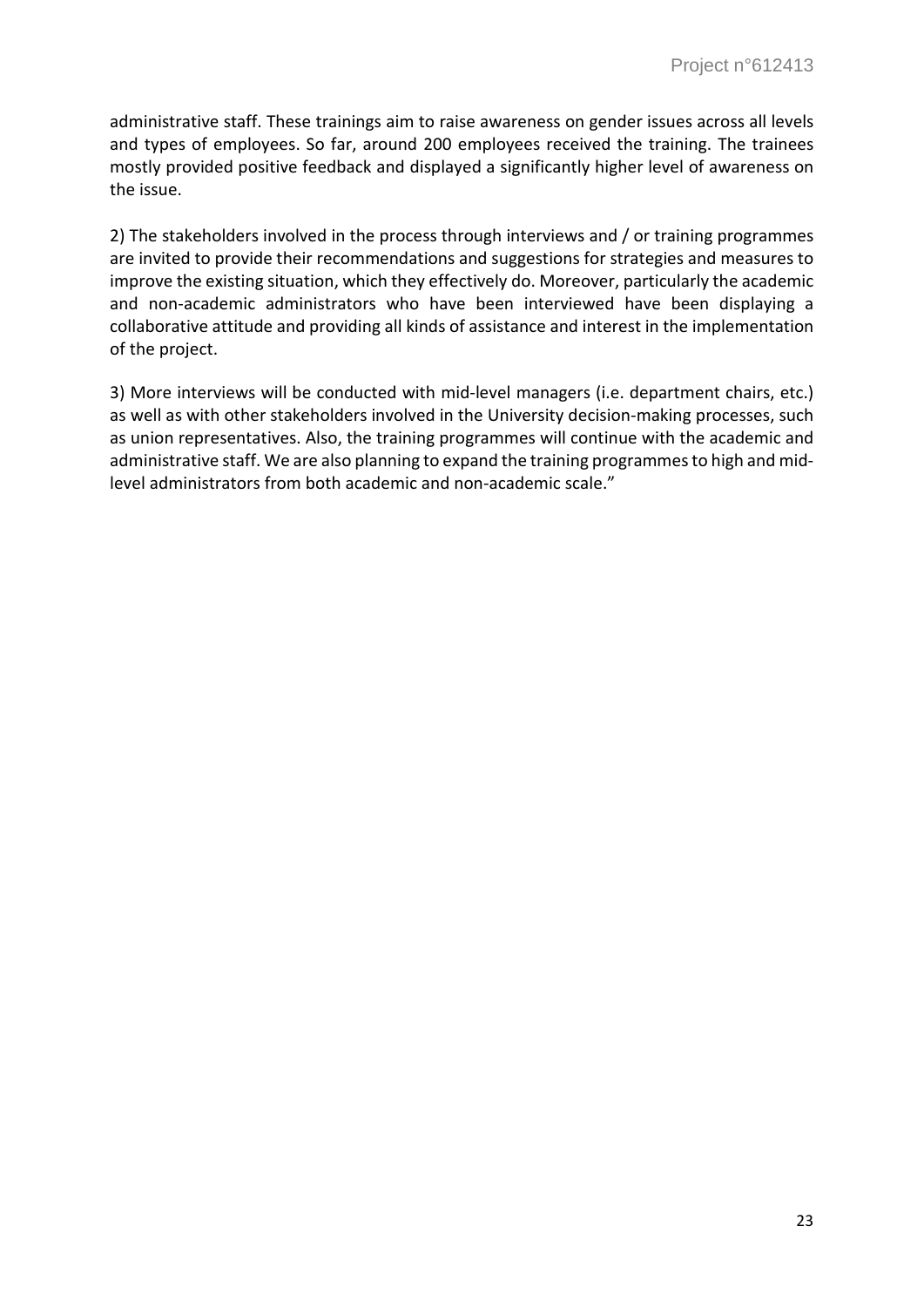administrative staff. These trainings aim to raise awareness on gender issues across all levels and types of employees. So far, around 200 employees received the training. The trainees mostly provided positive feedback and displayed a significantly higher level of awareness on the issue.

2) The stakeholders involved in the process through interviews and / or training programmes are invited to provide their recommendations and suggestions for strategies and measures to improve the existing situation, which they effectively do. Moreover, particularly the academic and non-academic administrators who have been interviewed have been displaying a collaborative attitude and providing all kinds of assistance and interest in the implementation of the project.

3) More interviews will be conducted with mid-level managers (i.e. department chairs, etc.) as well as with other stakeholders involved in the University decision-making processes, such as union representatives. Also, the training programmes will continue with the academic and administrative staff. We are also planning to expand the training programmes to high and midlevel administrators from both academic and non-academic scale."